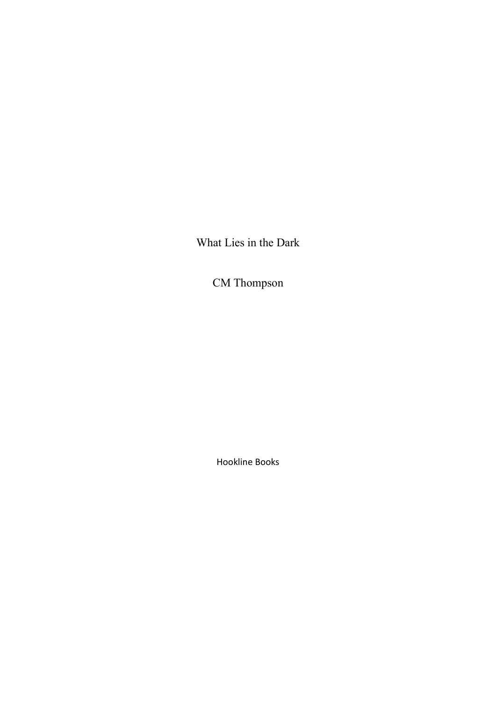What Lies in the Dark

CM Thompson

Hookline Books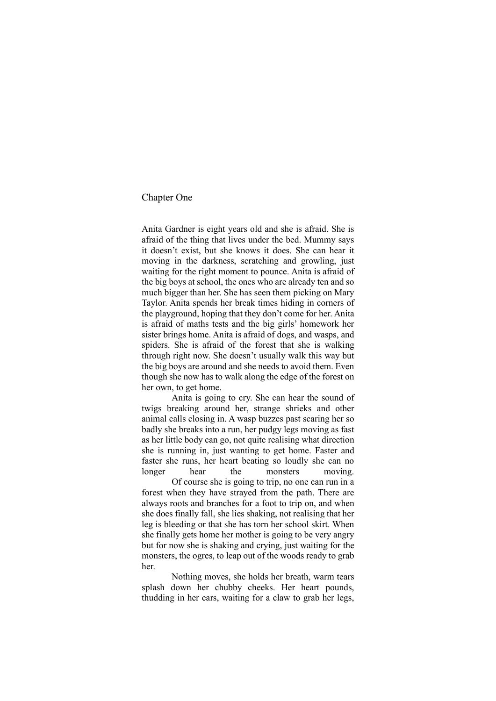## Chapter One

Anita Gardner is eight years old and she is afraid. She is afraid of the thing that lives under the bed. Mummy says it doesn't exist, but she knows it does. She can hear it moving in the darkness, scratching and growling, just waiting for the right moment to pounce. Anita is afraid of the big boys at school, the ones who are already ten and so much bigger than her. She has seen them picking on Mary Taylor. Anita spends her break times hiding in corners of the playground, hoping that they don't come for her. Anita is afraid of maths tests and the big girls' homework her sister brings home. Anita is afraid of dogs, and wasps, and spiders. She is afraid of the forest that she is walking through right now. She doesn't usually walk this way but the big boys are around and she needs to avoid them. Even though she now has to walk along the edge of the forest on her own, to get home.

Anita is going to cry. She can hear the sound of twigs breaking around her, strange shrieks and other animal calls closing in. A wasp buzzes past scaring her so badly she breaks into a run, her pudgy legs moving as fast as her little body can go, not quite realising what direction she is running in, just wanting to get home. Faster and faster she runs, her heart beating so loudly she can no longer hear the monsters moving. Of course she is going to trip, no one can run in a forest when they have strayed from the path. There are always roots and branches for a foot to trip on, and when she does finally fall, she lies shaking, not realising that her leg is bleeding or that she has torn her school skirt. When she finally gets home her mother is going to be very angry but for now she is shaking and crying, just waiting for the monsters, the ogres, to leap out of the woods ready to grab her.

Nothing moves, she holds her breath, warm tears splash down her chubby cheeks. Her heart pounds, thudding in her ears, waiting for a claw to grab her legs,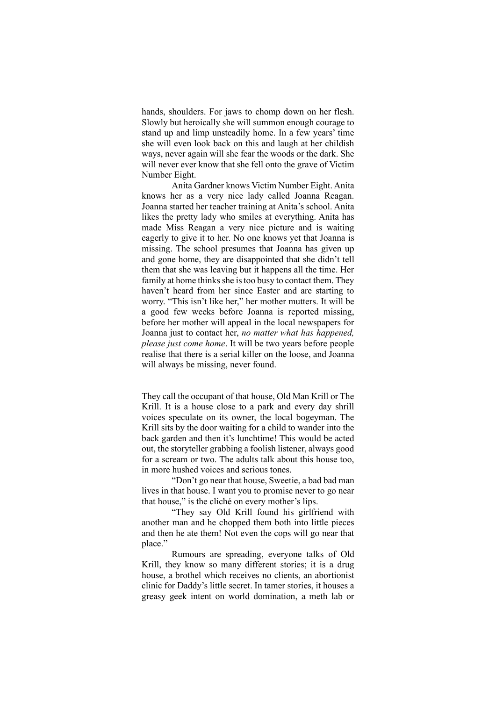hands, shoulders. For jaws to chomp down on her flesh. Slowly but heroically she will summon enough courage to stand up and limp unsteadily home. In a few years' time she will even look back on this and laugh at her childish ways, never again will she fear the woods or the dark. She will never ever know that she fell onto the grave of Victim Number Eight.

Anita Gardner knows Victim Number Eight. Anita knows her as a very nice lady called Joanna Reagan. Joanna started her teacher training at Anita's school. Anita likes the pretty lady who smiles at everything. Anita has made Miss Reagan a very nice picture and is waiting eagerly to give it to her. No one knows yet that Joanna is missing. The school presumes that Joanna has given up and gone home, they are disappointed that she didn't tell them that she was leaving but it happens all the time. Her family at home thinks she is too busy to contact them. They haven't heard from her since Easter and are starting to worry. "This isn't like her," her mother mutters. It will be a good few weeks before Joanna is reported missing, before her mother will appeal in the local newspapers for Joanna just to contact her, *no matter what has happened, please just come home*. It will be two years before people realise that there is a serial killer on the loose, and Joanna will always be missing, never found.

They call the occupant of that house, Old Man Krill or The Krill. It is a house close to a park and every day shrill voices speculate on its owner, the local bogeyman. The Krill sits by the door waiting for a child to wander into the back garden and then it's lunchtime! This would be acted out, the storyteller grabbing a foolish listener, always good for a scream or two. The adults talk about this house too, in more hushed voices and serious tones.

"Don't go near that house, Sweetie, a bad bad man lives in that house. I want you to promise never to go near that house," is the cliché on every mother's lips.

"They say Old Krill found his girlfriend with another man and he chopped them both into little pieces and then he ate them! Not even the cops will go near that place."

Rumours are spreading, everyone talks of Old Krill, they know so many different stories; it is a drug house, a brothel which receives no clients, an abortionist clinic for Daddy's little secret. In tamer stories, it houses a greasy geek intent on world domination, a meth lab or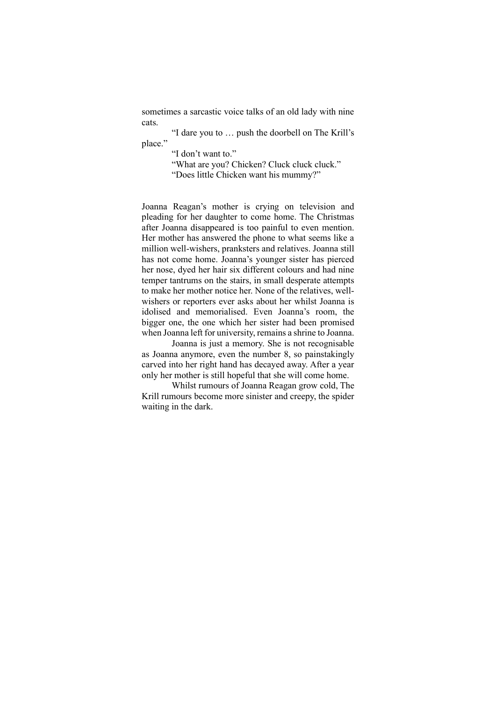sometimes a sarcastic voice talks of an old lady with nine cats.

"I dare you to … push the doorbell on The Krill's place."

"I don't want to."

"What are you? Chicken? Cluck cluck cluck." "Does little Chicken want his mummy?"

Joanna Reagan's mother is crying on television and pleading for her daughter to come home. The Christmas after Joanna disappeared is too painful to even mention. Her mother has answered the phone to what seems like a million well-wishers, pranksters and relatives. Joanna still has not come home. Joanna's younger sister has pierced her nose, dyed her hair six different colours and had nine temper tantrums on the stairs, in small desperate attempts to make her mother notice her. None of the relatives, wellwishers or reporters ever asks about her whilst Joanna is idolised and memorialised. Even Joanna's room, the bigger one, the one which her sister had been promised when Joanna left for university, remains a shrine to Joanna.

Joanna is just a memory. She is not recognisable as Joanna anymore, even the number 8, so painstakingly carved into her right hand has decayed away. After a year only her mother is still hopeful that she will come home.

Whilst rumours of Joanna Reagan grow cold, The Krill rumours become more sinister and creepy, the spider waiting in the dark.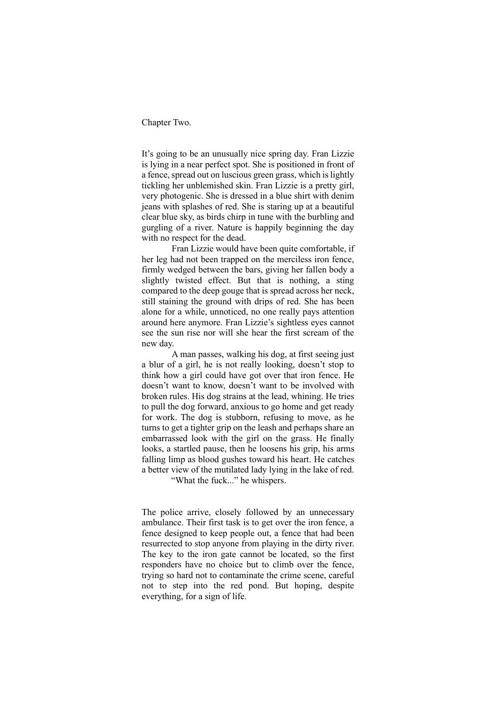Chapter Two.

It's going to be an unusually nice spring day. Fran Lizzie is lying in a near perfect spot. She is positioned in front of a fence, spread out on luscious green grass, which is lightly tickling her unblemished skin. Fran Lizzie is a pretty girl, very photogenic. She is dressed in a blue shirt with denim jeans with splashes of red. She is staring up at a beautiful clear blue sky, as birds chirp in tune with the burbling and gurgling of a river. Nature is happily beginning the day with no respect for the dead.

Fran Lizzie would have been quite comfortable, if her leg had not been trapped on the merciless iron fence, firmly wedged between the bars, giving her fallen body a slightly twisted effect. But that is nothing, a sting compared to the deep gouge that is spread across her neck, still staining the ground with drips of red. She has been alone for a while, unnoticed, no one really pays attention around here anymore. Fran Lizzie's sightless eyes cannot see the sun rise nor will she hear the first scream of the new day.

A man passes, walking his dog, at first seeing just a blur of a girl, he is not really looking, doesn't stop to think how a girl could have got over that iron fence. He doesn't want to know, doesn't want to be involved with broken rules. His dog strains at the lead, whining. He tries to pull the dog forward, anxious to go home and get ready for work. The dog is stubborn, refusing to move, as he turns to get a tighter grip on the leash and perhaps share an embarrassed look with the girl on the grass. He finally looks, a startled pause, then he loosens his grip, his arms falling limp as blood gushes toward his heart. He catches a better view of the mutilated lady lying in the lake of red.

"What the fuck..." he whispers.

The police arrive, closely followed by an unnecessary ambulance. Their first task is to get over the iron fence, a fence designed to keep people out, a fence that had been resurrected to stop anyone from playing in the dirty river. The key to the iron gate cannot be located, so the first responders have no choice but to climb over the fence, trying so hard not to contaminate the crime scene, careful not to step into the red pond. But hoping, despite everything, for a sign of life.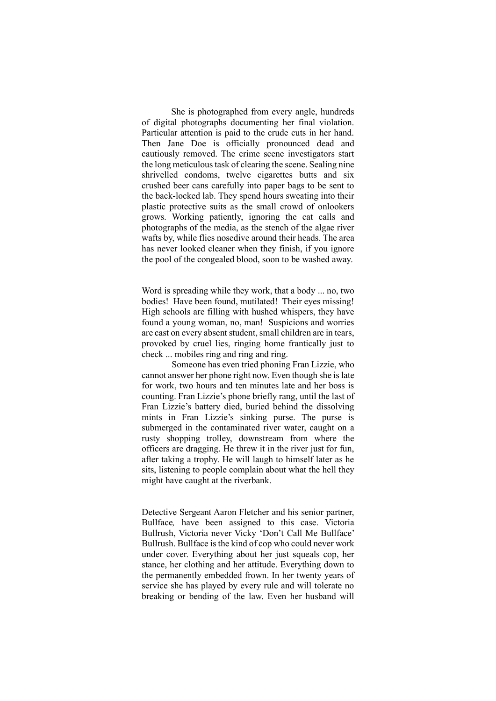She is photographed from every angle, hundreds of digital photographs documenting her final violation. Particular attention is paid to the crude cuts in her hand. Then Jane Doe is officially pronounced dead and cautiously removed. The crime scene investigators start the long meticulous task of clearing the scene. Sealing nine shrivelled condoms, twelve cigarettes butts and six crushed beer cans carefully into paper bags to be sent to the back-locked lab. They spend hours sweating into their plastic protective suits as the small crowd of onlookers grows. Working patiently, ignoring the cat calls and photographs of the media, as the stench of the algae river wafts by, while flies nosedive around their heads. The area has never looked cleaner when they finish, if you ignore the pool of the congealed blood, soon to be washed away.

Word is spreading while they work, that a body ... no, two bodies! Have been found, mutilated! Their eyes missing! High schools are filling with hushed whispers, they have found a young woman, no, man! Suspicions and worries are cast on every absent student, small children are in tears, provoked by cruel lies, ringing home frantically just to check ... mobiles ring and ring and ring.

Someone has even tried phoning Fran Lizzie, who cannot answer her phone right now. Even though she is late for work, two hours and ten minutes late and her boss is counting. Fran Lizzie's phone briefly rang, until the last of Fran Lizzie's battery died, buried behind the dissolving mints in Fran Lizzie's sinking purse. The purse is submerged in the contaminated river water, caught on a rusty shopping trolley, downstream from where the officers are dragging. He threw it in the river just for fun, after taking a trophy. He will laugh to himself later as he sits, listening to people complain about what the hell they might have caught at the riverbank.

Detective Sergeant Aaron Fletcher and his senior partner, Bullface*,* have been assigned to this case. Victoria Bullrush, Victoria never Vicky 'Don't Call Me Bullface' Bullrush. Bullface is the kind of cop who could never work under cover. Everything about her just squeals cop, her stance, her clothing and her attitude. Everything down to the permanently embedded frown. In her twenty years of service she has played by every rule and will tolerate no breaking or bending of the law. Even her husband will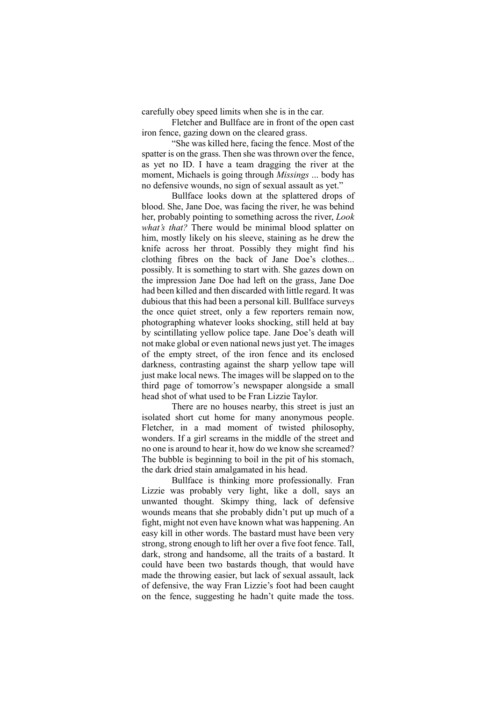carefully obey speed limits when she is in the car.

Fletcher and Bullface are in front of the open cast iron fence, gazing down on the cleared grass.

"She was killed here, facing the fence. Most of the spatter is on the grass. Then she was thrown over the fence, as yet no ID. I have a team dragging the river at the moment, Michaels is going through *Missings* ... body has no defensive wounds, no sign of sexual assault as yet."

Bullface looks down at the splattered drops of blood. She, Jane Doe, was facing the river, he was behind her, probably pointing to something across the river, *Look what's that?* There would be minimal blood splatter on him, mostly likely on his sleeve, staining as he drew the knife across her throat. Possibly they might find his clothing fibres on the back of Jane Doe's clothes... possibly. It is something to start with. She gazes down on the impression Jane Doe had left on the grass, Jane Doe had been killed and then discarded with little regard. It was dubious that this had been a personal kill. Bullface surveys the once quiet street, only a few reporters remain now, photographing whatever looks shocking, still held at bay by scintillating yellow police tape. Jane Doe's death will not make global or even national news just yet. The images of the empty street, of the iron fence and its enclosed darkness, contrasting against the sharp yellow tape will just make local news. The images will be slapped on to the third page of tomorrow's newspaper alongside a small head shot of what used to be Fran Lizzie Taylor.

There are no houses nearby, this street is just an isolated short cut home for many anonymous people. Fletcher, in a mad moment of twisted philosophy, wonders. If a girl screams in the middle of the street and no one is around to hear it, how do we know she screamed? The bubble is beginning to boil in the pit of his stomach, the dark dried stain amalgamated in his head.

Bullface is thinking more professionally. Fran Lizzie was probably very light, like a doll, says an unwanted thought. Skimpy thing, lack of defensive wounds means that she probably didn't put up much of a fight, might not even have known what was happening. An easy kill in other words. The bastard must have been very strong, strong enough to lift her over a five foot fence. Tall, dark, strong and handsome, all the traits of a bastard. It could have been two bastards though, that would have made the throwing easier, but lack of sexual assault, lack of defensive, the way Fran Lizzie's foot had been caught on the fence, suggesting he hadn't quite made the toss.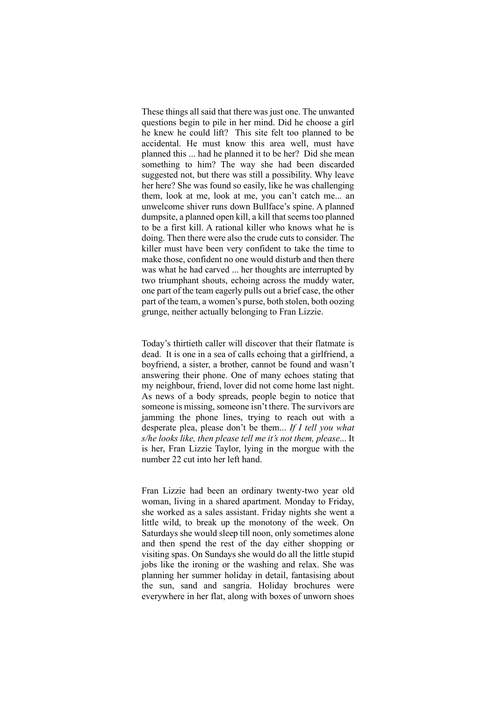These things all said that there was just one. The unwanted questions begin to pile in her mind. Did he choose a girl he knew he could lift? This site felt too planned to be accidental. He must know this area well, must have planned this ... had he planned it to be her? Did she mean something to him? The way she had been discarded suggested not, but there was still a possibility. Why leave her here? She was found so easily, like he was challenging them, look at me, look at me, you can't catch me... an unwelcome shiver runs down Bullface's spine. A planned dumpsite, a planned open kill, a kill that seemstoo planned to be a first kill. A rational killer who knows what he is doing. Then there were also the crude cuts to consider. The killer must have been very confident to take the time to make those, confident no one would disturb and then there was what he had carved ... her thoughts are interrupted by two triumphant shouts, echoing across the muddy water, one part of the team eagerly pulls out a brief case, the other part of the team, a women's purse, both stolen, both oozing grunge, neither actually belonging to Fran Lizzie.

Today's thirtieth caller will discover that their flatmate is dead. It is one in a sea of calls echoing that a girlfriend, a boyfriend, a sister, a brother, cannot be found and wasn't answering their phone. One of many echoes stating that my neighbour, friend, lover did not come home last night. As news of a body spreads, people begin to notice that someone is missing, someone isn't there. The survivors are jamming the phone lines, trying to reach out with a desperate plea, please don't be them... *If I tell you what s/he looks like, then please tell me it's not them, please*... It is her, Fran Lizzie Taylor, lying in the morgue with the number 22 cut into her left hand.

Fran Lizzie had been an ordinary twenty-two year old woman, living in a shared apartment. Monday to Friday, she worked as a sales assistant. Friday nights she went a little wild, to break up the monotony of the week. On Saturdays she would sleep till noon, only sometimes alone and then spend the rest of the day either shopping or visiting spas. On Sundays she would do all the little stupid jobs like the ironing or the washing and relax. She was planning her summer holiday in detail, fantasising about the sun, sand and sangria. Holiday brochures were everywhere in her flat, along with boxes of unworn shoes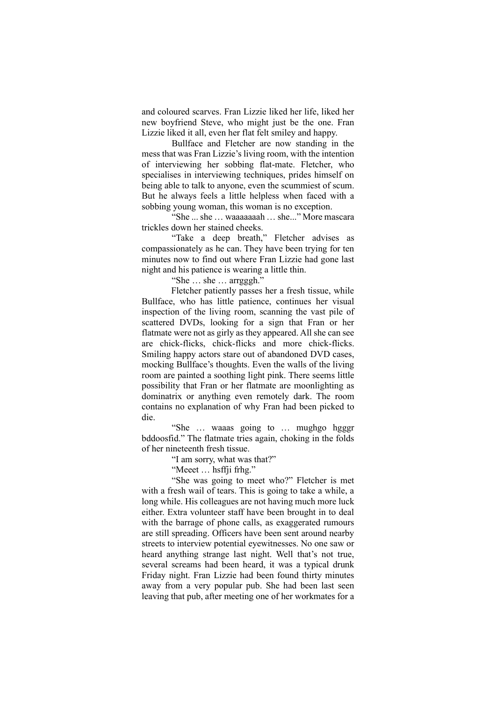and coloured scarves. Fran Lizzie liked her life, liked her new boyfriend Steve, who might just be the one. Fran Lizzie liked it all, even her flat felt smiley and happy.

Bullface and Fletcher are now standing in the mess that was Fran Lizzie's living room, with the intention of interviewing her sobbing flat-mate. Fletcher, who specialises in interviewing techniques, prides himself on being able to talk to anyone, even the scummiest of scum. But he always feels a little helpless when faced with a sobbing young woman, this woman is no exception.

"She ... she … waaaaaaah … she..." More mascara trickles down her stained cheeks.

"Take a deep breath," Fletcher advises as compassionately as he can. They have been trying for ten minutes now to find out where Fran Lizzie had gone last night and his patience is wearing a little thin.

"She … she … arrgggh."

Fletcher patiently passes her a fresh tissue, while Bullface, who has little patience, continues her visual inspection of the living room, scanning the vast pile of scattered DVDs, looking for a sign that Fran or her flatmate were not as girly as they appeared. All she can see are chick-flicks, chick-flicks and more chick-flicks. Smiling happy actors stare out of abandoned DVD cases, mocking Bullface's thoughts. Even the walls of the living room are painted a soothing light pink. There seems little possibility that Fran or her flatmate are moonlighting as dominatrix or anything even remotely dark. The room contains no explanation of why Fran had been picked to die.

"She … waaas going to … mughgo hgggr bddoosfid." The flatmate tries again, choking in the folds of her nineteenth fresh tissue.

"I am sorry, what was that?"

"Meeet … hsffji frhg."

"She was going to meet who?" Fletcher is met with a fresh wail of tears. This is going to take a while, a long while. His colleagues are not having much more luck either. Extra volunteer staff have been brought in to deal with the barrage of phone calls, as exaggerated rumours are still spreading. Officers have been sent around nearby streets to interview potential eyewitnesses. No one saw or heard anything strange last night. Well that's not true, several screams had been heard, it was a typical drunk Friday night. Fran Lizzie had been found thirty minutes away from a very popular pub. She had been last seen leaving that pub, after meeting one of her workmates for a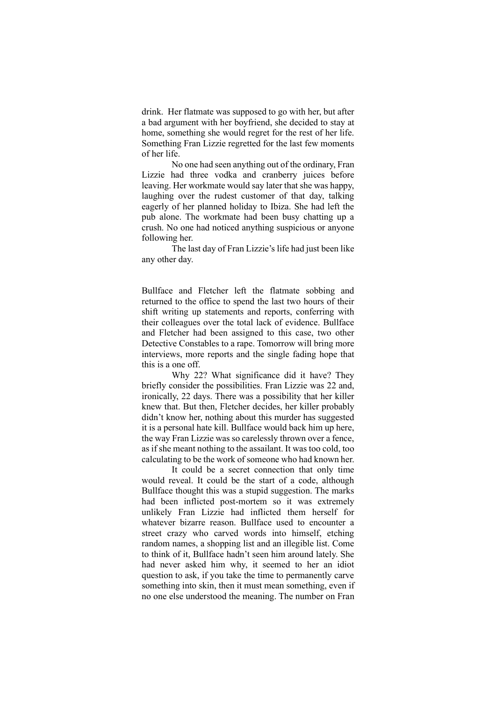drink. Her flatmate was supposed to go with her, but after a bad argument with her boyfriend, she decided to stay at home, something she would regret for the rest of her life. Something Fran Lizzie regretted for the last few moments of her life.

No one had seen anything out of the ordinary, Fran Lizzie had three vodka and cranberry juices before leaving. Her workmate would say later that she was happy, laughing over the rudest customer of that day, talking eagerly of her planned holiday to Ibiza. She had left the pub alone. The workmate had been busy chatting up a crush. No one had noticed anything suspicious or anyone following her.

The last day of Fran Lizzie's life had just been like any other day.

Bullface and Fletcher left the flatmate sobbing and returned to the office to spend the last two hours of their shift writing up statements and reports, conferring with their colleagues over the total lack of evidence. Bullface and Fletcher had been assigned to this case, two other Detective Constables to a rape. Tomorrow will bring more interviews, more reports and the single fading hope that this is a one off.

Why 22? What significance did it have? They briefly consider the possibilities. Fran Lizzie was 22 and, ironically, 22 days. There was a possibility that her killer knew that. But then, Fletcher decides, her killer probably didn't know her, nothing about this murder has suggested it is a personal hate kill. Bullface would back him up here, the way Fran Lizzie was so carelessly thrown over a fence, as if she meant nothing to the assailant. It was too cold, too calculating to be the work of someone who had known her.

It could be a secret connection that only time would reveal. It could be the start of a code, although Bullface thought this was a stupid suggestion. The marks had been inflicted post-mortem so it was extremely unlikely Fran Lizzie had inflicted them herself for whatever bizarre reason. Bullface used to encounter a street crazy who carved words into himself, etching random names, a shopping list and an illegible list. Come to think of it, Bullface hadn't seen him around lately. She had never asked him why, it seemed to her an idiot question to ask, if you take the time to permanently carve something into skin, then it must mean something, even if no one else understood the meaning. The number on Fran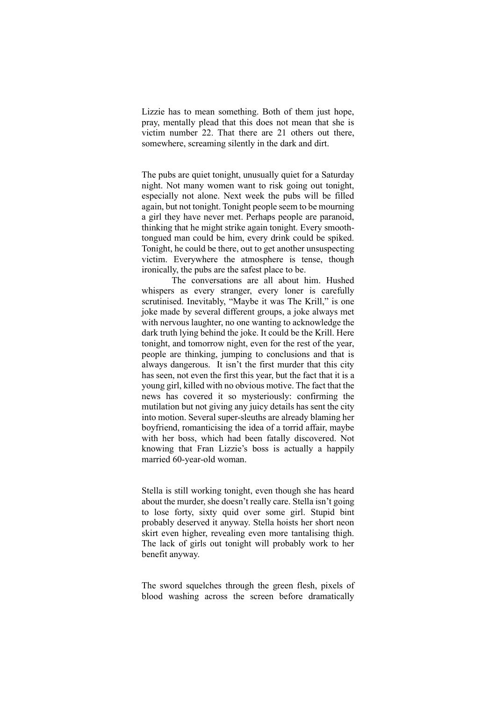Lizzie has to mean something. Both of them just hope, pray, mentally plead that this does not mean that she is victim number 22. That there are 21 others out there, somewhere, screaming silently in the dark and dirt.

The pubs are quiet tonight, unusually quiet for a Saturday night. Not many women want to risk going out tonight, especially not alone. Next week the pubs will be filled again, but not tonight. Tonight people seem to be mourning a girl they have never met. Perhaps people are paranoid, thinking that he might strike again tonight. Every smoothtongued man could be him, every drink could be spiked. Tonight, he could be there, out to get another unsuspecting victim. Everywhere the atmosphere is tense, though ironically, the pubs are the safest place to be.

The conversations are all about him. Hushed whispers as every stranger, every loner is carefully scrutinised. Inevitably, "Maybe it was The Krill," is one joke made by several different groups, a joke always met with nervous laughter, no one wanting to acknowledge the dark truth lying behind the joke. It could be the Krill. Here tonight, and tomorrow night, even for the rest of the year, people are thinking, jumping to conclusions and that is always dangerous. It isn't the first murder that this city has seen, not even the first this year, but the fact that it is a young girl, killed with no obvious motive. The fact that the news has covered it so mysteriously: confirming the mutilation but not giving any juicy details has sent the city into motion. Several super-sleuths are already blaming her boyfriend, romanticising the idea of a torrid affair, maybe with her boss, which had been fatally discovered. Not knowing that Fran Lizzie's boss is actually a happily married 60-year-old woman.

Stella is still working tonight, even though she has heard about the murder, she doesn't really care. Stella isn't going to lose forty, sixty quid over some girl. Stupid bint probably deserved it anyway. Stella hoists her short neon skirt even higher, revealing even more tantalising thigh. The lack of girls out tonight will probably work to her benefit anyway.

The sword squelches through the green flesh, pixels of blood washing across the screen before dramatically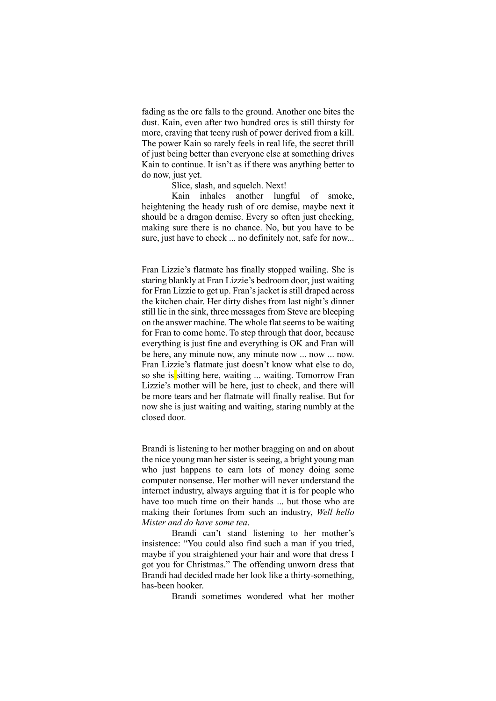fading as the orc falls to the ground. Another one bites the dust. Kain, even after two hundred orcs is still thirsty for more, craving that teeny rush of power derived from a kill. The power Kain so rarely feels in real life, the secret thrill of just being better than everyone else at something drives Kain to continue. It isn't as if there was anything better to do now, just yet.

Slice, slash, and squelch. Next!

Kain inhales another lungful of smoke, heightening the heady rush of orc demise, maybe next it should be a dragon demise. Every so often just checking, making sure there is no chance. No, but you have to be sure, just have to check ... no definitely not, safe for now...

Fran Lizzie's flatmate has finally stopped wailing. She is staring blankly at Fran Lizzie's bedroom door, just waiting for Fran Lizzie to get up. Fran's jacket is still draped across the kitchen chair. Her dirty dishes from last night's dinner still lie in the sink, three messages from Steve are bleeping on the answer machine. The whole flat seems to be waiting for Fran to come home. To step through that door, because everything is just fine and everything is OK and Fran will be here, any minute now, any minute now ... now ... now. Fran Lizzie's flatmate just doesn't know what else to do, so she is sitting here, waiting ... waiting. Tomorrow Fran Lizzie's mother will be here, just to check, and there will be more tears and her flatmate will finally realise. But for now she is just waiting and waiting, staring numbly at the closed door.

Brandi is listening to her mother bragging on and on about the nice young man her sister is seeing, a bright young man who just happens to earn lots of money doing some computer nonsense. Her mother will never understand the internet industry, always arguing that it is for people who have too much time on their hands ... but those who are making their fortunes from such an industry, *Well hello Mister and do have some tea*.

Brandi can't stand listening to her mother's insistence: "You could also find such a man if you tried, maybe if you straightened your hair and wore that dress I got you for Christmas." The offending unworn dress that Brandi had decided made her look like a thirty-something, has-been hooker.

Brandi sometimes wondered what her mother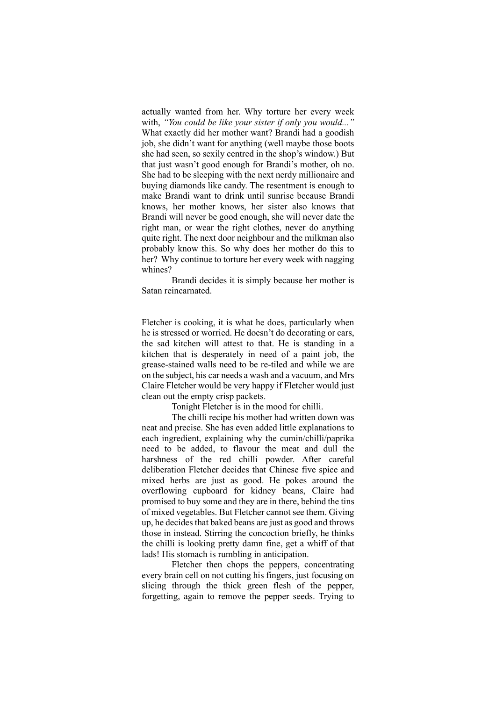actually wanted from her. Why torture her every week with, *"You could be like your sister if only you would..."* What exactly did her mother want? Brandi had a goodish job, she didn't want for anything (well maybe those boots she had seen, so sexily centred in the shop's window.) But that just wasn't good enough for Brandi's mother, oh no. She had to be sleeping with the next nerdy millionaire and buying diamonds like candy. The resentment is enough to make Brandi want to drink until sunrise because Brandi knows, her mother knows, her sister also knows that Brandi will never be good enough, she will never date the right man, or wear the right clothes, never do anything quite right. The next door neighbour and the milkman also probably know this. So why does her mother do this to her? Why continue to torture her every week with nagging whines?

Brandi decides it is simply because her mother is Satan reincarnated.

Fletcher is cooking, it is what he does, particularly when he is stressed or worried. He doesn't do decorating or cars, the sad kitchen will attest to that. He is standing in a kitchen that is desperately in need of a paint job, the grease-stained walls need to be re-tiled and while we are on the subject, his car needs a wash and a vacuum, and Mrs Claire Fletcher would be very happy if Fletcher would just clean out the empty crisp packets.

Tonight Fletcher is in the mood for chilli.

The chilli recipe his mother had written down was neat and precise. She has even added little explanations to each ingredient, explaining why the cumin/chilli/paprika need to be added, to flavour the meat and dull the harshness of the red chilli powder. After careful deliberation Fletcher decides that Chinese five spice and mixed herbs are just as good. He pokes around the overflowing cupboard for kidney beans, Claire had promised to buy some and they are in there, behind the tins of mixed vegetables. But Fletcher cannot see them. Giving up, he decides that baked beans are just as good and throws those in instead. Stirring the concoction briefly, he thinks the chilli is looking pretty damn fine, get a whiff of that lads! His stomach is rumbling in anticipation.

Fletcher then chops the peppers, concentrating every brain cell on not cutting his fingers, just focusing on slicing through the thick green flesh of the pepper, forgetting, again to remove the pepper seeds. Trying to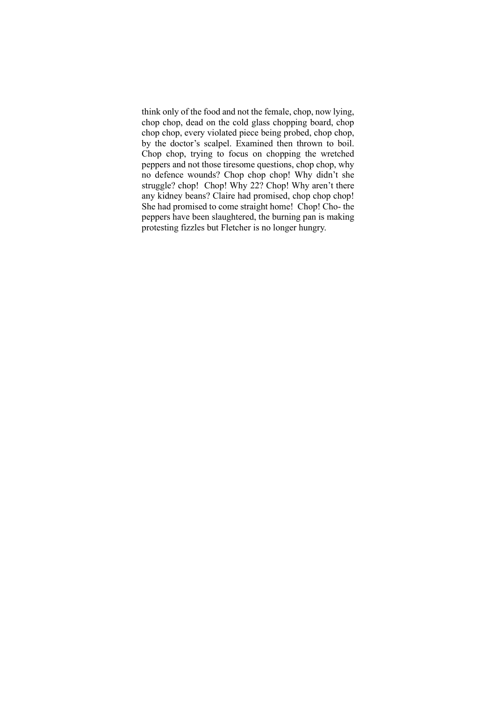think only of the food and not the female, chop, now lying, chop chop, dead on the cold glass chopping board, chop chop chop, every violated piece being probed, chop chop, by the doctor's scalpel. Examined then thrown to boil. Chop chop, trying to focus on chopping the wretched peppers and not those tiresome questions, chop chop, why no defence wounds? Chop chop chop! Why didn't she struggle? chop! Chop! Why 22? Chop! Why aren't there any kidney beans? Claire had promised, chop chop chop! She had promised to come straight home! Chop! Cho- the peppers have been slaughtered, the burning pan is making protesting fizzles but Fletcher is no longer hungry.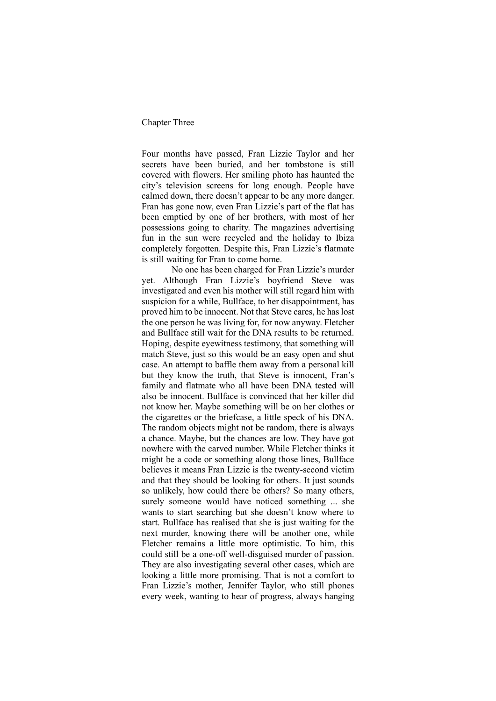Chapter Three

Four months have passed, Fran Lizzie Taylor and her secrets have been buried, and her tombstone is still covered with flowers. Her smiling photo has haunted the city's television screens for long enough. People have calmed down, there doesn't appear to be any more danger. Fran has gone now, even Fran Lizzie's part of the flat has been emptied by one of her brothers, with most of her possessions going to charity. The magazines advertising fun in the sun were recycled and the holiday to Ibiza completely forgotten. Despite this, Fran Lizzie's flatmate is still waiting for Fran to come home.

No one has been charged for Fran Lizzie's murder yet. Although Fran Lizzie's boyfriend Steve was investigated and even his mother will still regard him with suspicion for a while, Bullface, to her disappointment, has proved him to be innocent. Not that Steve cares, he has lost the one person he was living for, for now anyway. Fletcher and Bullface still wait for the DNA results to be returned. Hoping, despite eyewitness testimony, that something will match Steve, just so this would be an easy open and shut case. An attempt to baffle them away from a personal kill but they know the truth, that Steve is innocent, Fran's family and flatmate who all have been DNA tested will also be innocent. Bullface is convinced that her killer did not know her. Maybe something will be on her clothes or the cigarettes or the briefcase, a little speck of his DNA. The random objects might not be random, there is always a chance. Maybe, but the chances are low. They have got nowhere with the carved number. While Fletcher thinks it might be a code or something along those lines, Bullface believes it means Fran Lizzie is the twenty-second victim and that they should be looking for others. It just sounds so unlikely, how could there be others? So many others, surely someone would have noticed something ... she wants to start searching but she doesn't know where to start. Bullface has realised that she is just waiting for the next murder, knowing there will be another one, while Fletcher remains a little more optimistic. To him, this could still be a one-off well-disguised murder of passion. They are also investigating several other cases, which are looking a little more promising. That is not a comfort to Fran Lizzie's mother, Jennifer Taylor, who still phones every week, wanting to hear of progress, always hanging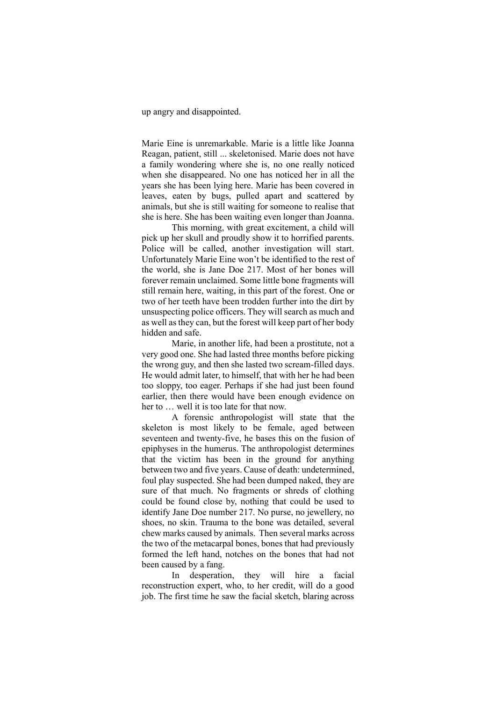up angry and disappointed.

Marie Eine is unremarkable. Marie is a little like Joanna Reagan, patient, still ... skeletonised. Marie does not have a family wondering where she is, no one really noticed when she disappeared. No one has noticed her in all the years she has been lying here. Marie has been covered in leaves, eaten by bugs, pulled apart and scattered by animals, but she is still waiting for someone to realise that she is here. She has been waiting even longer than Joanna.

This morning, with great excitement, a child will pick up her skull and proudly show it to horrified parents. Police will be called, another investigation will start. Unfortunately Marie Eine won't be identified to the rest of the world, she is Jane Doe 217. Most of her bones will forever remain unclaimed. Some little bone fragments will still remain here, waiting, in this part of the forest. One or two of her teeth have been trodden further into the dirt by unsuspecting police officers. They will search as much and as well as they can, but the forest will keep part of her body hidden and safe.

Marie, in another life, had been a prostitute, not a very good one. She had lasted three months before picking the wrong guy, and then she lasted two scream-filled days. He would admit later, to himself, that with her he had been too sloppy, too eager. Perhaps if she had just been found earlier, then there would have been enough evidence on her to … well it is too late for that now.

A forensic anthropologist will state that the skeleton is most likely to be female, aged between seventeen and twenty-five, he bases this on the fusion of epiphyses in the humerus. The anthropologist determines that the victim has been in the ground for anything between two and five years. Cause of death: undetermined, foul play suspected. She had been dumped naked, they are sure of that much. No fragments or shreds of clothing could be found close by, nothing that could be used to identify Jane Doe number 217. No purse, no jewellery, no shoes, no skin. Trauma to the bone was detailed, several chew marks caused by animals. Then several marks across the two of the metacarpal bones, bones that had previously formed the left hand, notches on the bones that had not been caused by a fang.

In desperation, they will hire a facial reconstruction expert, who, to her credit, will do a good job. The first time he saw the facial sketch, blaring across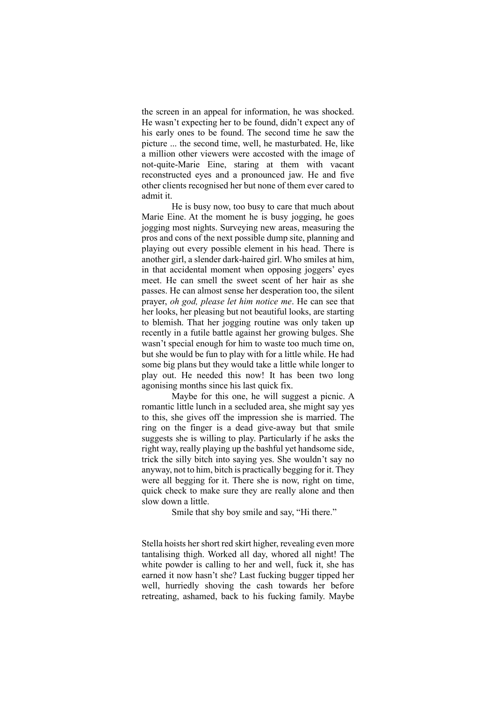the screen in an appeal for information, he was shocked. He wasn't expecting her to be found, didn't expect any of his early ones to be found. The second time he saw the picture ... the second time, well, he masturbated. He, like a million other viewers were accosted with the image of not-quite-Marie Eine, staring at them with vacant reconstructed eyes and a pronounced jaw. He and five other clients recognised her but none of them ever cared to admit it.

He is busy now, too busy to care that much about Marie Eine. At the moment he is busy jogging, he goes jogging most nights. Surveying new areas, measuring the pros and cons of the next possible dump site, planning and playing out every possible element in his head. There is another girl, a slender dark-haired girl. Who smiles at him, in that accidental moment when opposing joggers' eyes meet. He can smell the sweet scent of her hair as she passes. He can almost sense her desperation too, the silent prayer, *oh god, please let him notice me*. He can see that her looks, her pleasing but not beautiful looks, are starting to blemish. That her jogging routine was only taken up recently in a futile battle against her growing bulges. She wasn't special enough for him to waste too much time on, but she would be fun to play with for a little while. He had some big plans but they would take a little while longer to play out. He needed this now! It has been two long agonising months since his last quick fix.

Maybe for this one, he will suggest a picnic. A romantic little lunch in a secluded area, she might say yes to this, she gives off the impression she is married. The ring on the finger is a dead give-away but that smile suggests she is willing to play. Particularly if he asks the right way, really playing up the bashful yet handsome side, trick the silly bitch into saying yes. She wouldn't say no anyway, not to him, bitch is practically begging for it. They were all begging for it. There she is now, right on time, quick check to make sure they are really alone and then slow down a little.

Smile that shy boy smile and say, "Hi there."

Stella hoists her short red skirt higher, revealing even more tantalising thigh. Worked all day, whored all night! The white powder is calling to her and well, fuck it, she has earned it now hasn't she? Last fucking bugger tipped her well, hurriedly shoving the cash towards her before retreating, ashamed, back to his fucking family. Maybe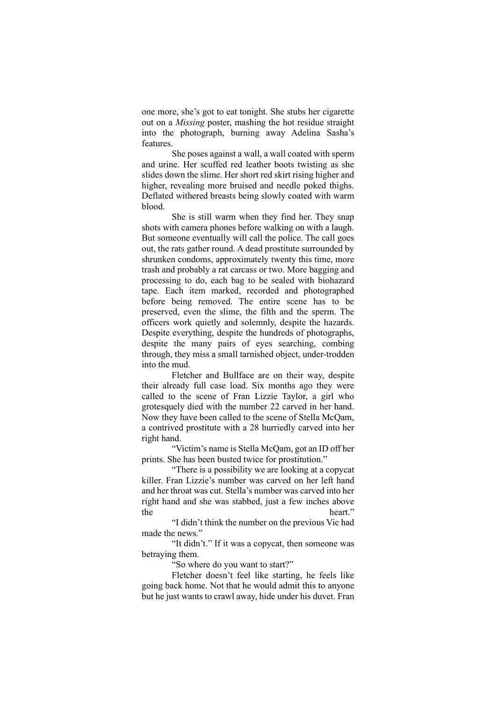one more, she's got to eat tonight. She stubs her cigarette out on a *Missing* poster, mashing the hot residue straight into the photograph, burning away Adelina Sasha's features.

She poses against a wall, a wall coated with sperm and urine. Her scuffed red leather boots twisting as she slides down the slime. Her short red skirt rising higher and higher, revealing more bruised and needle poked thighs. Deflated withered breasts being slowly coated with warm blood.

She is still warm when they find her. They snap shots with camera phones before walking on with a laugh. But someone eventually will call the police. The call goes out, the rats gather round. A dead prostitute surrounded by shrunken condoms, approximately twenty this time, more trash and probably a rat carcass or two. More bagging and processing to do, each bag to be sealed with biohazard tape. Each item marked, recorded and photographed before being removed. The entire scene has to be preserved, even the slime, the filth and the sperm. The officers work quietly and solemnly, despite the hazards. Despite everything, despite the hundreds of photographs, despite the many pairs of eyes searching, combing through, they miss a small tarnished object, under-trodden into the mud.

 Fletcher and Bullface are on their way, despite their already full case load. Six months ago they were called to the scene of Fran Lizzie Taylor, a girl who grotesquely died with the number 22 carved in her hand. Now they have been called to the scene of Stella McQam, a contrived prostitute with a 28 hurriedly carved into her right hand.

"Victim's name is Stella McQam, got an ID off her prints. She has been busted twice for prostitution."

"There is a possibility we are looking at a copycat killer. Fran Lizzie's number was carved on her left hand and her throat was cut. Stella's number was carved into her right hand and she was stabbed, just a few inches above the heart."

"I didn't think the number on the previous Vic had made the news."

"It didn't." If it was a copycat, then someone was betraying them.

"So where do you want to start?"

Fletcher doesn't feel like starting, he feels like going back home. Not that he would admit this to anyone but he just wants to crawl away, hide under his duvet. Fran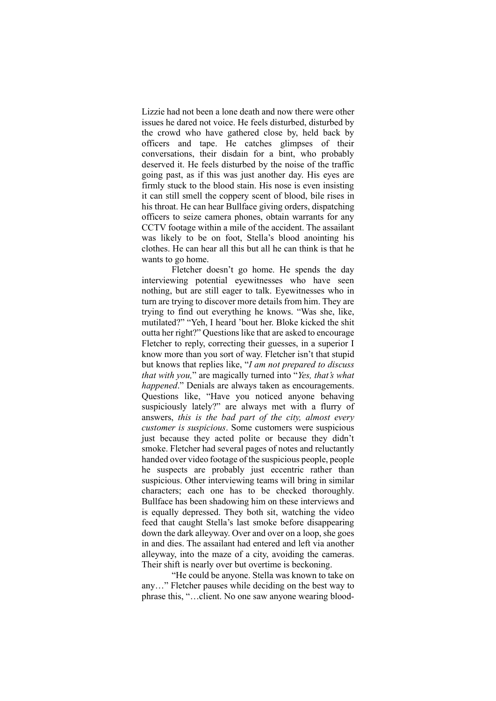Lizzie had not been a lone death and now there were other issues he dared not voice. He feels disturbed, disturbed by the crowd who have gathered close by, held back by officers and tape. He catches glimpses of their conversations, their disdain for a bint, who probably deserved it. He feels disturbed by the noise of the traffic going past, as if this was just another day. His eyes are firmly stuck to the blood stain. His nose is even insisting it can still smell the coppery scent of blood, bile rises in his throat. He can hear Bullface giving orders, dispatching officers to seize camera phones, obtain warrants for any CCTV footage within a mile of the accident. The assailant was likely to be on foot, Stella's blood anointing his clothes. He can hear all this but all he can think is that he wants to go home.

Fletcher doesn't go home. He spends the day interviewing potential eyewitnesses who have seen nothing, but are still eager to talk. Eyewitnesses who in turn are trying to discover more details from him. They are trying to find out everything he knows. "Was she, like, mutilated?" "Yeh, I heard 'bout her. Bloke kicked the shit outta her right?" Questions like that are asked to encourage Fletcher to reply, correcting their guesses, in a superior I know more than you sort of way. Fletcher isn't that stupid but knows that replies like, "*I am not prepared to discuss that with you,*" are magically turned into "*Yes, that's what happened*." Denials are always taken as encouragements. Questions like, "Have you noticed anyone behaving suspiciously lately?" are always met with a flurry of answers, *this is the bad part of the city, almost every customer is suspicious*. Some customers were suspicious just because they acted polite or because they didn't smoke. Fletcher had several pages of notes and reluctantly handed over video footage of the suspicious people, people he suspects are probably just eccentric rather than suspicious. Other interviewing teams will bring in similar characters; each one has to be checked thoroughly. Bullface has been shadowing him on these interviews and is equally depressed. They both sit, watching the video feed that caught Stella's last smoke before disappearing down the dark alleyway. Over and over on a loop, she goes in and dies. The assailant had entered and left via another alleyway, into the maze of a city, avoiding the cameras. Their shift is nearly over but overtime is beckoning.

"He could be anyone. Stella was known to take on any…" Fletcher pauses while deciding on the best way to phrase this, "…client. No one saw anyone wearing blood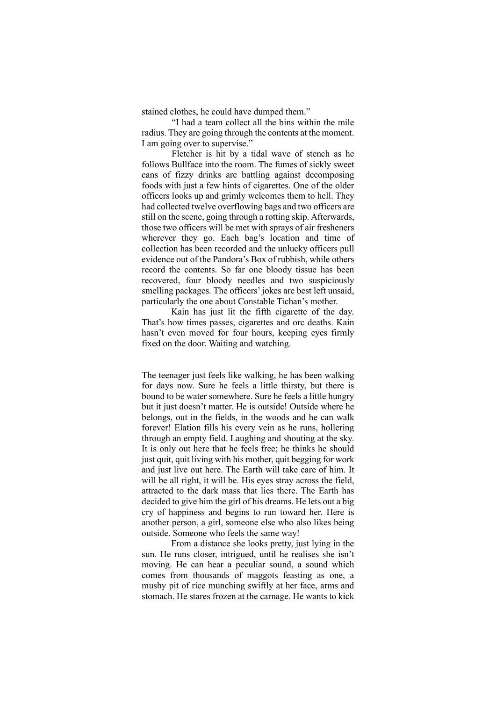stained clothes, he could have dumped them."

"I had a team collect all the bins within the mile radius. They are going through the contents at the moment. I am going over to supervise."

Fletcher is hit by a tidal wave of stench as he follows Bullface into the room. The fumes of sickly sweet cans of fizzy drinks are battling against decomposing foods with just a few hints of cigarettes. One of the older officers looks up and grimly welcomes them to hell. They had collected twelve overflowing bags and two officers are still on the scene, going through a rotting skip. Afterwards, those two officers will be met with sprays of air fresheners wherever they go. Each bag's location and time of collection has been recorded and the unlucky officers pull evidence out of the Pandora's Box of rubbish, while others record the contents. So far one bloody tissue has been recovered, four bloody needles and two suspiciously smelling packages. The officers' jokes are best left unsaid, particularly the one about Constable Tichan's mother.

Kain has just lit the fifth cigarette of the day. That's how times passes, cigarettes and orc deaths. Kain hasn't even moved for four hours, keeping eyes firmly fixed on the door. Waiting and watching.

The teenager just feels like walking, he has been walking for days now. Sure he feels a little thirsty, but there is bound to be water somewhere. Sure he feels a little hungry but it just doesn't matter. He is outside! Outside where he belongs, out in the fields, in the woods and he can walk forever! Elation fills his every vein as he runs, hollering through an empty field. Laughing and shouting at the sky. It is only out here that he feels free; he thinks he should just quit, quit living with his mother, quit begging for work and just live out here. The Earth will take care of him. It will be all right, it will be. His eyes stray across the field, attracted to the dark mass that lies there. The Earth has decided to give him the girl of his dreams. He lets out a big cry of happiness and begins to run toward her. Here is another person, a girl, someone else who also likes being outside. Someone who feels the same way!

From a distance she looks pretty, just lying in the sun. He runs closer, intrigued, until he realises she isn't moving. He can hear a peculiar sound, a sound which comes from thousands of maggots feasting as one, a mushy pit of rice munching swiftly at her face, arms and stomach. He stares frozen at the carnage. He wants to kick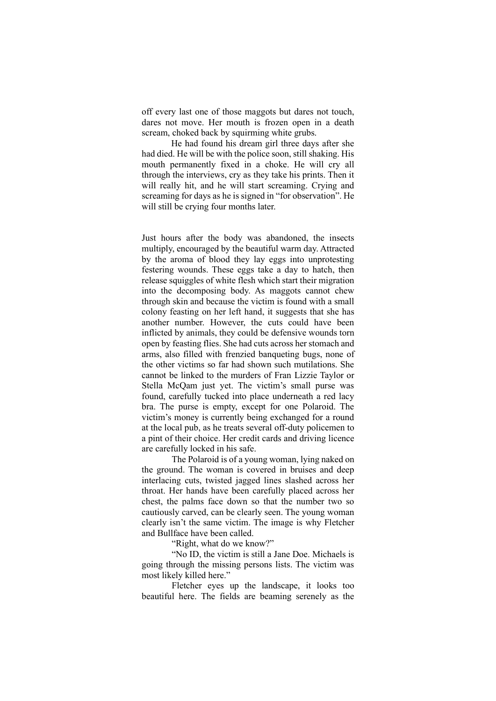off every last one of those maggots but dares not touch, dares not move. Her mouth is frozen open in a death scream, choked back by squirming white grubs.

He had found his dream girl three days after she had died. He will be with the police soon, still shaking. His mouth permanently fixed in a choke. He will cry all through the interviews, cry as they take his prints. Then it will really hit, and he will start screaming. Crying and screaming for days as he is signed in "for observation". He will still be crying four months later.

Just hours after the body was abandoned, the insects multiply, encouraged by the beautiful warm day. Attracted by the aroma of blood they lay eggs into unprotesting festering wounds. These eggs take a day to hatch, then release squiggles of white flesh which start their migration into the decomposing body. As maggots cannot chew through skin and because the victim is found with a small colony feasting on her left hand, it suggests that she has another number. However, the cuts could have been inflicted by animals, they could be defensive wounds torn open by feasting flies. She had cuts across her stomach and arms, also filled with frenzied banqueting bugs, none of the other victims so far had shown such mutilations. She cannot be linked to the murders of Fran Lizzie Taylor or Stella McQam just yet. The victim's small purse was found, carefully tucked into place underneath a red lacy bra. The purse is empty, except for one Polaroid. The victim's money is currently being exchanged for a round at the local pub, as he treats several off-duty policemen to a pint of their choice. Her credit cards and driving licence are carefully locked in his safe.

The Polaroid is of a young woman, lying naked on the ground. The woman is covered in bruises and deep interlacing cuts, twisted jagged lines slashed across her throat. Her hands have been carefully placed across her chest, the palms face down so that the number two so cautiously carved, can be clearly seen. The young woman clearly isn't the same victim. The image is why Fletcher and Bullface have been called.

"Right, what do we know?"

"No ID, the victim is still a Jane Doe. Michaels is going through the missing persons lists. The victim was most likely killed here."

Fletcher eyes up the landscape, it looks too beautiful here. The fields are beaming serenely as the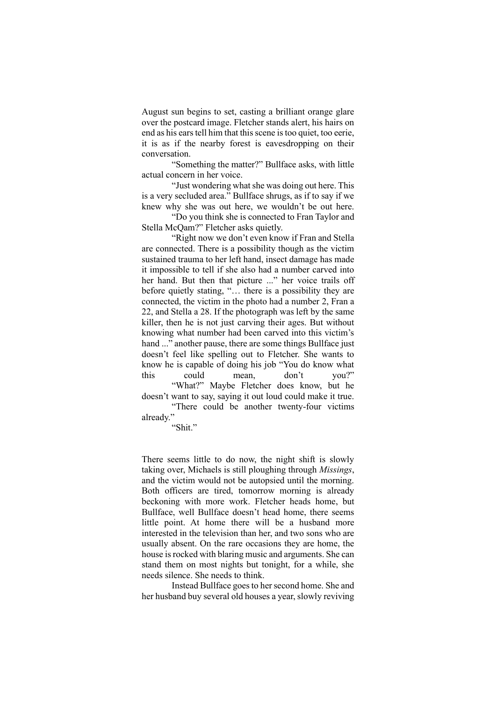August sun begins to set, casting a brilliant orange glare over the postcard image. Fletcher stands alert, his hairs on end as his ears tell him that this scene is too quiet, too eerie, it is as if the nearby forest is eavesdropping on their conversation.

"Something the matter?" Bullface asks, with little actual concern in her voice.

"Just wondering what she was doing out here. This is a very secluded area." Bullface shrugs, as if to say if we knew why she was out here, we wouldn't be out here.

"Do you think she is connected to Fran Taylor and Stella McQam?" Fletcher asks quietly.

"Right now we don't even know if Fran and Stella are connected. There is a possibility though as the victim sustained trauma to her left hand, insect damage has made it impossible to tell if she also had a number carved into her hand. But then that picture ..." her voice trails off before quietly stating, "… there is a possibility they are connected, the victim in the photo had a number 2, Fran a 22, and Stella a 28. If the photograph was left by the same killer, then he is not just carving their ages. But without knowing what number had been carved into this victim's hand ..." another pause, there are some things Bullface just doesn't feel like spelling out to Fletcher. She wants to know he is capable of doing his job "You do know what this could mean, don't you?" "What?" Maybe Fletcher does know, but he doesn't want to say, saying it out loud could make it true. "There could be another twenty-four victims already."

"Shit."

There seems little to do now, the night shift is slowly taking over, Michaels is still ploughing through *Missings*, and the victim would not be autopsied until the morning. Both officers are tired, tomorrow morning is already beckoning with more work. Fletcher heads home, but Bullface, well Bullface doesn't head home, there seems little point. At home there will be a husband more interested in the television than her, and two sons who are usually absent. On the rare occasions they are home, the house is rocked with blaring music and arguments. She can stand them on most nights but tonight, for a while, she needs silence. She needs to think.

Instead Bullface goes to her second home. She and her husband buy several old houses a year, slowly reviving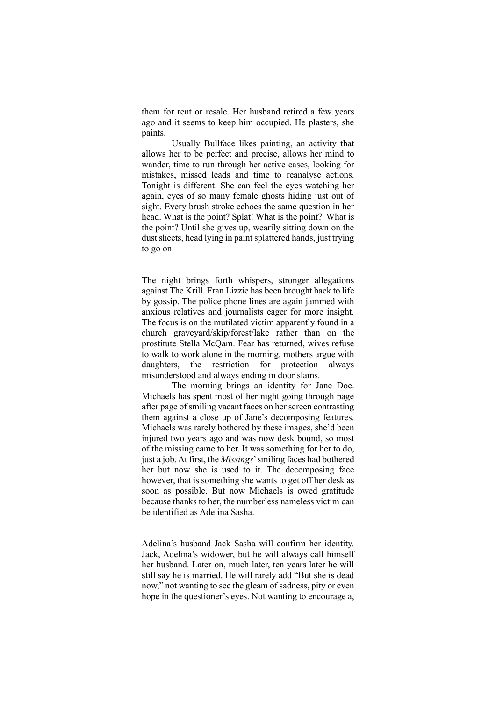them for rent or resale. Her husband retired a few years ago and it seems to keep him occupied. He plasters, she paints.

Usually Bullface likes painting, an activity that allows her to be perfect and precise, allows her mind to wander, time to run through her active cases, looking for mistakes, missed leads and time to reanalyse actions. Tonight is different. She can feel the eyes watching her again, eyes of so many female ghosts hiding just out of sight. Every brush stroke echoes the same question in her head. What is the point? Splat! What is the point? What is the point? Until she gives up, wearily sitting down on the dust sheets, head lying in paint splattered hands, just trying to go on.

The night brings forth whispers, stronger allegations against The Krill. Fran Lizzie has been brought back to life by gossip. The police phone lines are again jammed with anxious relatives and journalists eager for more insight. The focus is on the mutilated victim apparently found in a church graveyard/skip/forest/lake rather than on the prostitute Stella McQam. Fear has returned, wives refuse to walk to work alone in the morning, mothers argue with daughters, the restriction for protection always misunderstood and always ending in door slams.

The morning brings an identity for Jane Doe. Michaels has spent most of her night going through page after page of smiling vacant faces on her screen contrasting them against a close up of Jane's decomposing features. Michaels was rarely bothered by these images, she'd been injured two years ago and was now desk bound, so most of the missing came to her. It was something for her to do, just a job. At first, the *Missings*' smiling faces had bothered her but now she is used to it. The decomposing face however, that is something she wants to get off her desk as soon as possible. But now Michaels is owed gratitude because thanks to her, the numberless nameless victim can be identified as Adelina Sasha.

Adelina's husband Jack Sasha will confirm her identity. Jack, Adelina's widower, but he will always call himself her husband. Later on, much later, ten years later he will still say he is married. He will rarely add "But she is dead now," not wanting to see the gleam of sadness, pity or even hope in the questioner's eyes. Not wanting to encourage a,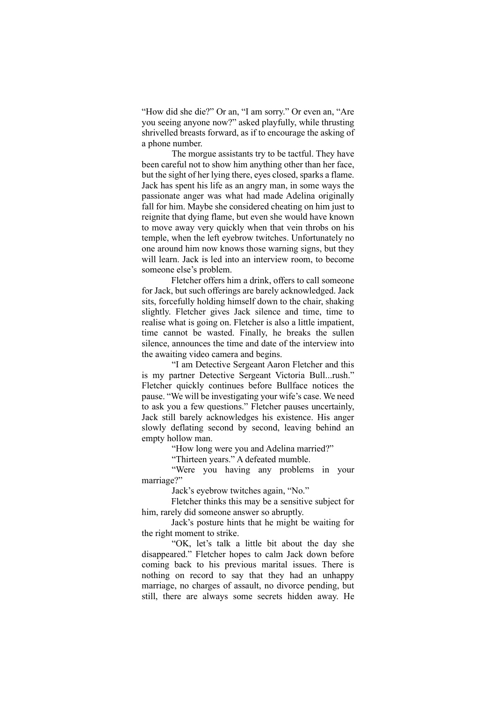"How did she die?" Or an, "I am sorry." Or even an, "Are you seeing anyone now?" asked playfully, while thrusting shrivelled breasts forward, as if to encourage the asking of a phone number.

The morgue assistants try to be tactful. They have been careful not to show him anything other than her face, but the sight of her lying there, eyes closed, sparks a flame. Jack has spent his life as an angry man, in some ways the passionate anger was what had made Adelina originally fall for him. Maybe she considered cheating on him just to reignite that dying flame, but even she would have known to move away very quickly when that vein throbs on his temple, when the left eyebrow twitches. Unfortunately no one around him now knows those warning signs, but they will learn. Jack is led into an interview room, to become someone else's problem.

Fletcher offers him a drink, offers to call someone for Jack, but such offerings are barely acknowledged. Jack sits, forcefully holding himself down to the chair, shaking slightly. Fletcher gives Jack silence and time, time to realise what is going on. Fletcher is also a little impatient, time cannot be wasted. Finally, he breaks the sullen silence, announces the time and date of the interview into the awaiting video camera and begins.

"I am Detective Sergeant Aaron Fletcher and this is my partner Detective Sergeant Victoria Bull...rush." Fletcher quickly continues before Bullface notices the pause. "We will be investigating your wife's case. We need to ask you a few questions." Fletcher pauses uncertainly, Jack still barely acknowledges his existence. His anger slowly deflating second by second, leaving behind an empty hollow man.

"How long were you and Adelina married?"

"Thirteen years." A defeated mumble.

"Were you having any problems in your marriage?"

Jack's eyebrow twitches again, "No."

Fletcher thinks this may be a sensitive subject for him, rarely did someone answer so abruptly.

Jack's posture hints that he might be waiting for the right moment to strike.

"OK, let's talk a little bit about the day she disappeared." Fletcher hopes to calm Jack down before coming back to his previous marital issues. There is nothing on record to say that they had an unhappy marriage, no charges of assault, no divorce pending, but still, there are always some secrets hidden away. He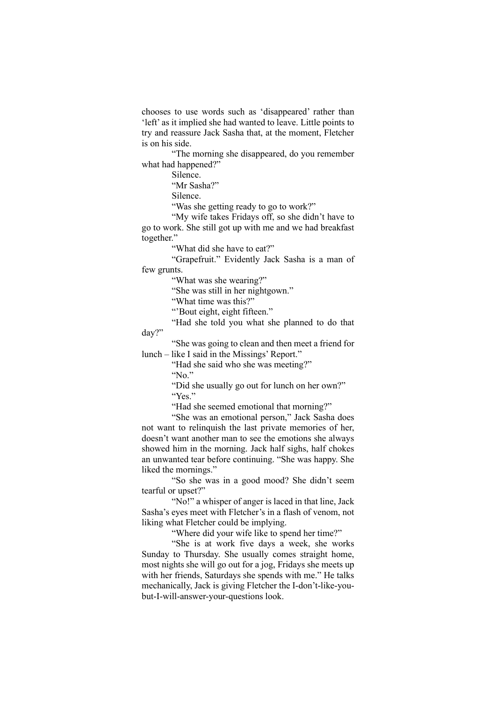chooses to use words such as 'disappeared' rather than 'left' as it implied she had wanted to leave. Little points to try and reassure Jack Sasha that, at the moment, Fletcher is on his side.

"The morning she disappeared, do you remember what had happened?"

Silence.

"Mr Sasha?"

Silence.

"Was she getting ready to go to work?"

"My wife takes Fridays off, so she didn't have to go to work. She still got up with me and we had breakfast together."

"What did she have to eat?"

"Grapefruit." Evidently Jack Sasha is a man of few grunts.

"What was she wearing?"

"She was still in her nightgown."

"What time was this?"

"'Bout eight, eight fifteen."

"Had she told you what she planned to do that day?"

"She was going to clean and then meet a friend for lunch – like I said in the Missings' Report."

"Had she said who she was meeting?"

"No."

"Did she usually go out for lunch on her own?" "Yes."

"Had she seemed emotional that morning?"

"She was an emotional person," Jack Sasha does not want to relinquish the last private memories of her, doesn't want another man to see the emotions she always showed him in the morning. Jack half sighs, half chokes an unwanted tear before continuing. "She was happy. She liked the mornings."

"So she was in a good mood? She didn't seem tearful or upset?"

"No!" a whisper of anger is laced in that line, Jack Sasha's eyes meet with Fletcher's in a flash of venom, not liking what Fletcher could be implying.

"Where did your wife like to spend her time?"

"She is at work five days a week, she works Sunday to Thursday. She usually comes straight home, most nights she will go out for a jog, Fridays she meets up with her friends, Saturdays she spends with me." He talks mechanically, Jack is giving Fletcher the I-don't-like-youbut-I-will-answer-your-questions look.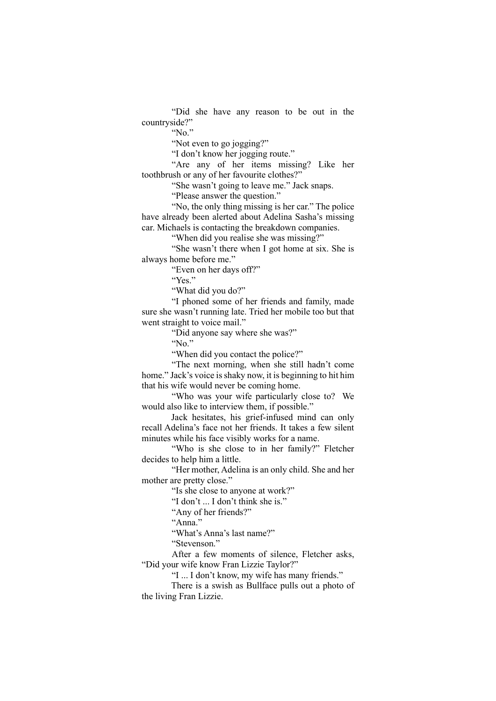"Did she have any reason to be out in the countryside?"

"No."

"Not even to go jogging?"

"I don't know her jogging route."

"Are any of her items missing? Like her toothbrush or any of her favourite clothes?"

"She wasn't going to leave me." Jack snaps.

"Please answer the question."

"No, the only thing missing is her car." The police have already been alerted about Adelina Sasha's missing car. Michaels is contacting the breakdown companies.

"When did you realise she was missing?"

"She wasn't there when I got home at six. She is always home before me."

"Even on her days off?"

"Yes."

"What did you do?"

"I phoned some of her friends and family, made sure she wasn't running late. Tried her mobile too but that went straight to voice mail."

"Did anyone say where she was?"

"No."

"When did you contact the police?"

"The next morning, when she still hadn't come home." Jack's voice is shaky now, it is beginning to hit him that his wife would never be coming home.

"Who was your wife particularly close to? We would also like to interview them, if possible."

Jack hesitates, his grief-infused mind can only recall Adelina's face not her friends. It takes a few silent minutes while his face visibly works for a name.

"Who is she close to in her family?" Fletcher decides to help him a little.

"Her mother, Adelina is an only child. She and her mother are pretty close."

"Is she close to anyone at work?"

"I don't ... I don't think she is."

"Any of her friends?"

"Anna."

"What's Anna's last name?"

"Stevenson."

After a few moments of silence, Fletcher asks, "Did your wife know Fran Lizzie Taylor?"

"I ... I don't know, my wife has many friends."

There is a swish as Bullface pulls out a photo of the living Fran Lizzie.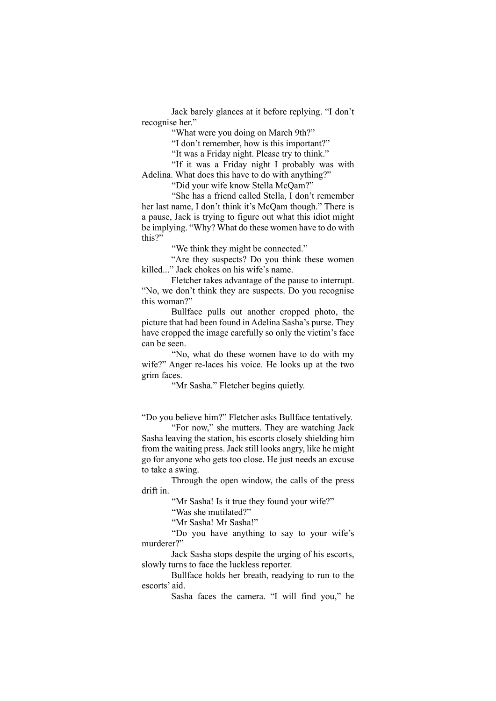Jack barely glances at it before replying. "I don't recognise her."

"What were you doing on March 9th?"

"I don't remember, how is this important?"

"It was a Friday night. Please try to think."

"If it was a Friday night I probably was with Adelina. What does this have to do with anything?"

"Did your wife know Stella McQam?"

"She has a friend called Stella, I don't remember her last name, I don't think it's McQam though." There is a pause, Jack is trying to figure out what this idiot might be implying. "Why? What do these women have to do with this?"

"We think they might be connected."

"Are they suspects? Do you think these women killed..." Jack chokes on his wife's name.

Fletcher takes advantage of the pause to interrupt. "No, we don't think they are suspects. Do you recognise this woman?"

Bullface pulls out another cropped photo, the picture that had been found in Adelina Sasha's purse. They have cropped the image carefully so only the victim's face can be seen.

"No, what do these women have to do with my wife?" Anger re-laces his voice. He looks up at the two grim faces.

"Mr Sasha." Fletcher begins quietly.

"Do you believe him?" Fletcher asks Bullface tentatively.

"For now," she mutters. They are watching Jack Sasha leaving the station, his escorts closely shielding him from the waiting press. Jack still looks angry, like he might go for anyone who gets too close. He just needs an excuse to take a swing.

Through the open window, the calls of the press drift in.

"Mr Sasha! Is it true they found your wife?"

"Was she mutilated?"

"Mr Sasha! Mr Sasha!"

"Do you have anything to say to your wife's murderer?"

Jack Sasha stops despite the urging of his escorts, slowly turns to face the luckless reporter.

Bullface holds her breath, readying to run to the escorts' aid.

Sasha faces the camera. "I will find you," he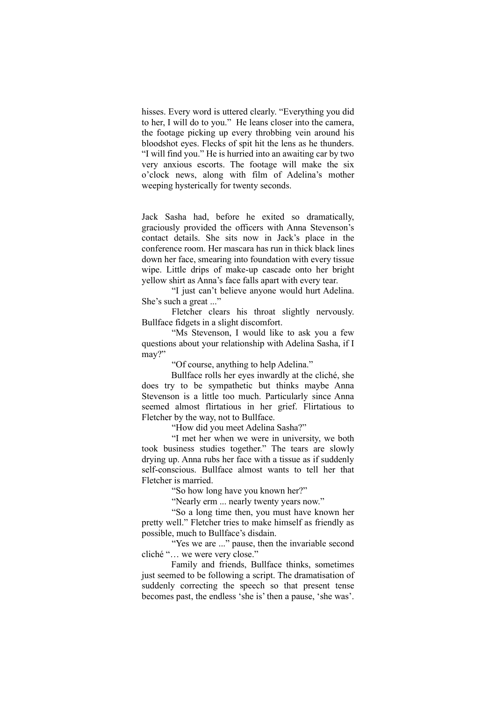hisses. Every word is uttered clearly. "Everything you did to her, I will do to you." He leans closer into the camera, the footage picking up every throbbing vein around his bloodshot eyes. Flecks of spit hit the lens as he thunders. "I will find you." He is hurried into an awaiting car by two very anxious escorts. The footage will make the six o'clock news, along with film of Adelina's mother weeping hysterically for twenty seconds.

Jack Sasha had, before he exited so dramatically, graciously provided the officers with Anna Stevenson's contact details. She sits now in Jack's place in the conference room. Her mascara has run in thick black lines down her face, smearing into foundation with every tissue wipe. Little drips of make-up cascade onto her bright yellow shirt as Anna's face falls apart with every tear.

"I just can't believe anyone would hurt Adelina. She's such a great ..."

Fletcher clears his throat slightly nervously. Bullface fidgets in a slight discomfort.

"Ms Stevenson, I would like to ask you a few questions about your relationship with Adelina Sasha, if I may?"

"Of course, anything to help Adelina."

Bullface rolls her eyes inwardly at the cliché, she does try to be sympathetic but thinks maybe Anna Stevenson is a little too much. Particularly since Anna seemed almost flirtatious in her grief. Flirtatious to Fletcher by the way, not to Bullface.

"How did you meet Adelina Sasha?"

"I met her when we were in university, we both took business studies together." The tears are slowly drying up. Anna rubs her face with a tissue as if suddenly self-conscious. Bullface almost wants to tell her that Fletcher is married.

"So how long have you known her?"

"Nearly erm ... nearly twenty years now."

"So a long time then, you must have known her pretty well." Fletcher tries to make himself as friendly as possible, much to Bullface's disdain.

"Yes we are ..." pause, then the invariable second cliché "… we were very close."

Family and friends, Bullface thinks, sometimes just seemed to be following a script. The dramatisation of suddenly correcting the speech so that present tense becomes past, the endless 'she is' then a pause, 'she was'.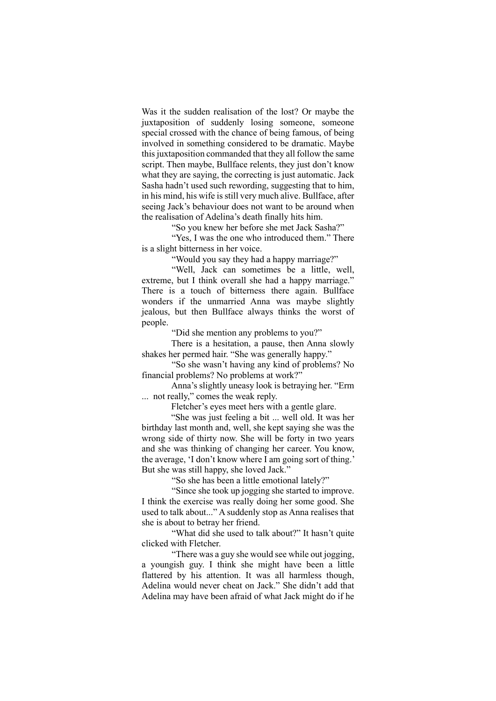Was it the sudden realisation of the lost? Or maybe the juxtaposition of suddenly losing someone, someone special crossed with the chance of being famous, of being involved in something considered to be dramatic. Maybe this juxtaposition commanded that they all follow the same script. Then maybe, Bullface relents, they just don't know what they are saying, the correcting is just automatic. Jack Sasha hadn't used such rewording, suggesting that to him, in his mind, his wife is still very much alive. Bullface, after seeing Jack's behaviour does not want to be around when the realisation of Adelina's death finally hits him.

"So you knew her before she met Jack Sasha?"

"Yes, I was the one who introduced them." There is a slight bitterness in her voice.

"Would you say they had a happy marriage?"

"Well, Jack can sometimes be a little, well, extreme, but I think overall she had a happy marriage." There is a touch of bitterness there again. Bullface wonders if the unmarried Anna was maybe slightly jealous, but then Bullface always thinks the worst of people.

"Did she mention any problems to you?"

There is a hesitation, a pause, then Anna slowly shakes her permed hair. "She was generally happy."

"So she wasn't having any kind of problems? No financial problems? No problems at work?"

Anna's slightly uneasy look is betraying her. "Erm ... not really," comes the weak reply.

Fletcher's eyes meet hers with a gentle glare.

"She was just feeling a bit ... well old. It was her birthday last month and, well, she kept saying she was the wrong side of thirty now. She will be forty in two years and she was thinking of changing her career. You know, the average, 'I don't know where I am going sort of thing.' But she was still happy, she loved Jack."

"So she has been a little emotional lately?"

"Since she took up jogging she started to improve. I think the exercise was really doing her some good. She used to talk about..." A suddenly stop as Anna realises that she is about to betray her friend.

"What did she used to talk about?" It hasn't quite clicked with Fletcher.

"There was a guy she would see while out jogging, a youngish guy. I think she might have been a little flattered by his attention. It was all harmless though, Adelina would never cheat on Jack." She didn't add that Adelina may have been afraid of what Jack might do if he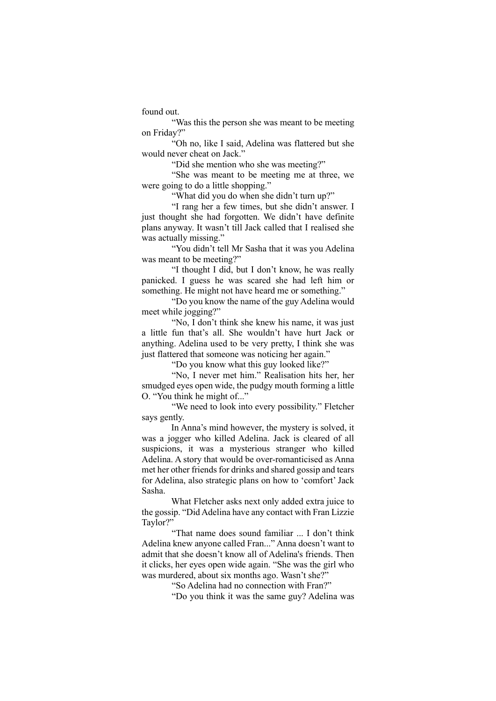found out.

"Was this the person she was meant to be meeting on Friday?"

"Oh no, like I said, Adelina was flattered but she would never cheat on Jack."

"Did she mention who she was meeting?"

"She was meant to be meeting me at three, we were going to do a little shopping."

"What did you do when she didn't turn up?"

"I rang her a few times, but she didn't answer. I just thought she had forgotten. We didn't have definite plans anyway. It wasn't till Jack called that I realised she was actually missing."

"You didn't tell Mr Sasha that it was you Adelina was meant to be meeting?"

"I thought I did, but I don't know, he was really panicked. I guess he was scared she had left him or something. He might not have heard me or something."

"Do you know the name of the guy Adelina would meet while jogging?"

"No, I don't think she knew his name, it was just a little fun that's all. She wouldn't have hurt Jack or anything. Adelina used to be very pretty, I think she was just flattered that someone was noticing her again."

"Do you know what this guy looked like?"

"No, I never met him." Realisation hits her, her smudged eyes open wide, the pudgy mouth forming a little O. "You think he might of..."

"We need to look into every possibility." Fletcher says gently.

In Anna's mind however, the mystery is solved, it was a jogger who killed Adelina. Jack is cleared of all suspicions, it was a mysterious stranger who killed Adelina. A story that would be over-romanticised as Anna met her other friends for drinks and shared gossip and tears for Adelina, also strategic plans on how to 'comfort' Jack Sasha.

What Fletcher asks next only added extra juice to the gossip. "Did Adelina have any contact with Fran Lizzie Taylor?"

"That name does sound familiar ... I don't think Adelina knew anyone called Fran..." Anna doesn't want to admit that she doesn't know all of Adelina's friends. Then it clicks, her eyes open wide again. "She was the girl who was murdered, about six months ago. Wasn't she?"

"So Adelina had no connection with Fran?"

"Do you think it was the same guy? Adelina was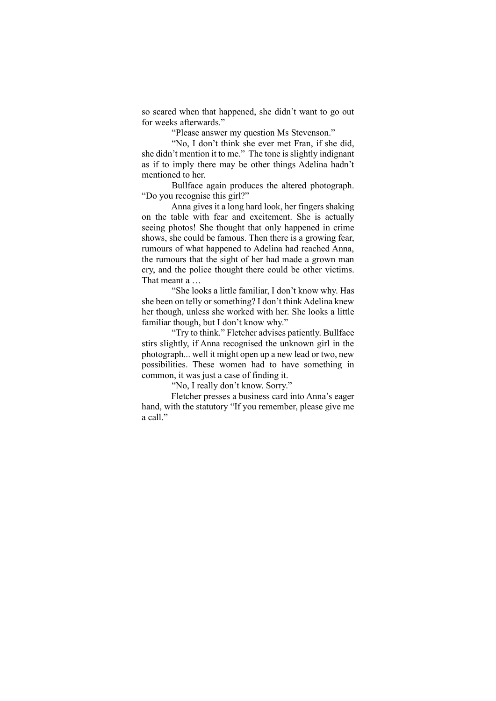so scared when that happened, she didn't want to go out for weeks afterwards."

"Please answer my question Ms Stevenson."

"No, I don't think she ever met Fran, if she did, she didn't mention it to me." The tone is slightly indignant as if to imply there may be other things Adelina hadn't mentioned to her.

Bullface again produces the altered photograph. "Do you recognise this girl?"

Anna gives it a long hard look, her fingers shaking on the table with fear and excitement. She is actually seeing photos! She thought that only happened in crime shows, she could be famous. Then there is a growing fear, rumours of what happened to Adelina had reached Anna, the rumours that the sight of her had made a grown man cry, and the police thought there could be other victims. That meant a …

"She looks a little familiar, I don't know why. Has she been on telly or something? I don't think Adelina knew her though, unless she worked with her. She looks a little familiar though, but I don't know why."

"Try to think." Fletcher advises patiently. Bullface stirs slightly, if Anna recognised the unknown girl in the photograph... well it might open up a new lead or two, new possibilities. These women had to have something in common, it was just a case of finding it.

"No, I really don't know. Sorry."

Fletcher presses a business card into Anna's eager hand, with the statutory "If you remember, please give me a call."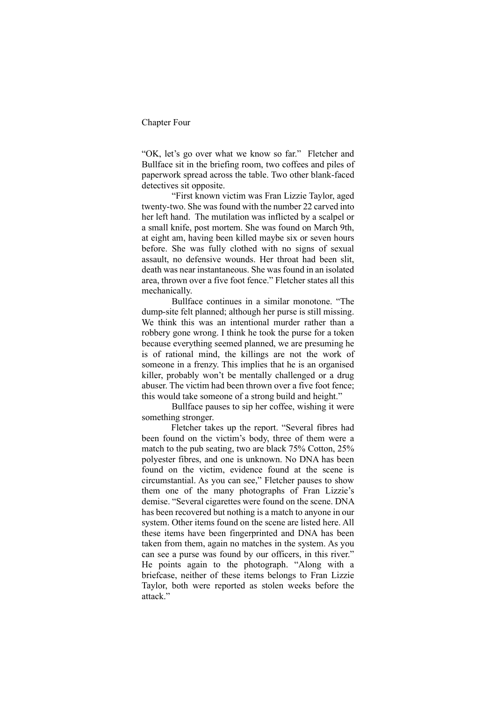Chapter Four

"OK, let's go over what we know so far." Fletcher and Bullface sit in the briefing room, two coffees and piles of paperwork spread across the table. Two other blank-faced detectives sit opposite.

"First known victim was Fran Lizzie Taylor, aged twenty-two. She was found with the number 22 carved into her left hand. The mutilation was inflicted by a scalpel or a small knife, post mortem. She was found on March 9th, at eight am, having been killed maybe six or seven hours before. She was fully clothed with no signs of sexual assault, no defensive wounds. Her throat had been slit, death was near instantaneous. She was found in an isolated area, thrown over a five foot fence." Fletcher states all this mechanically.

Bullface continues in a similar monotone. "The dump-site felt planned; although her purse is still missing. We think this was an intentional murder rather than a robbery gone wrong. I think he took the purse for a token because everything seemed planned, we are presuming he is of rational mind, the killings are not the work of someone in a frenzy. This implies that he is an organised killer, probably won't be mentally challenged or a drug abuser. The victim had been thrown over a five foot fence; this would take someone of a strong build and height."

Bullface pauses to sip her coffee, wishing it were something stronger.

Fletcher takes up the report. "Several fibres had been found on the victim's body, three of them were a match to the pub seating, two are black 75% Cotton, 25% polyester fibres, and one is unknown. No DNA has been found on the victim, evidence found at the scene is circumstantial. As you can see," Fletcher pauses to show them one of the many photographs of Fran Lizzie's demise. "Several cigarettes were found on the scene. DNA has been recovered but nothing is a match to anyone in our system. Other items found on the scene are listed here. All these items have been fingerprinted and DNA has been taken from them, again no matches in the system. As you can see a purse was found by our officers, in this river." He points again to the photograph. "Along with a briefcase, neither of these items belongs to Fran Lizzie Taylor, both were reported as stolen weeks before the attack."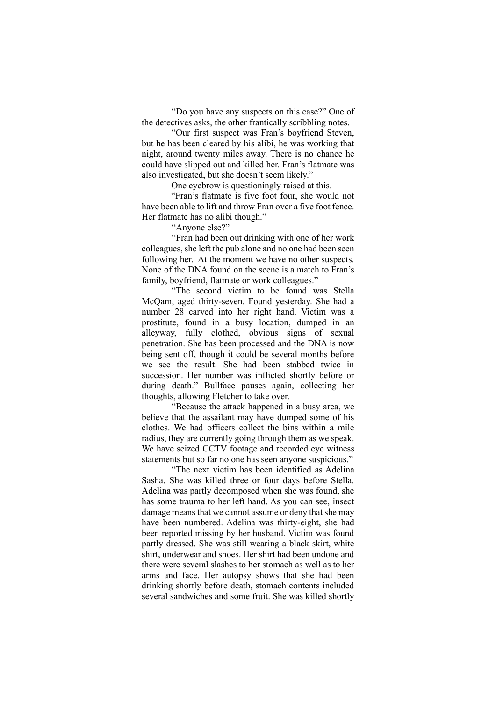"Do you have any suspects on this case?" One of the detectives asks, the other frantically scribbling notes.

"Our first suspect was Fran's boyfriend Steven, but he has been cleared by his alibi, he was working that night, around twenty miles away. There is no chance he could have slipped out and killed her. Fran's flatmate was also investigated, but she doesn't seem likely."

One eyebrow is questioningly raised at this.

"Fran's flatmate is five foot four, she would not have been able to lift and throw Fran over a five foot fence. Her flatmate has no alibi though."

"Anyone else?"

"Fran had been out drinking with one of her work colleagues, she left the pub alone and no one had been seen following her. At the moment we have no other suspects. None of the DNA found on the scene is a match to Fran's family, boyfriend, flatmate or work colleagues."

"The second victim to be found was Stella McQam, aged thirty-seven. Found yesterday. She had a number 28 carved into her right hand. Victim was a prostitute, found in a busy location, dumped in an alleyway, fully clothed, obvious signs of sexual penetration. She has been processed and the DNA is now being sent off, though it could be several months before we see the result. She had been stabbed twice in succession. Her number was inflicted shortly before or during death." Bullface pauses again, collecting her thoughts, allowing Fletcher to take over.

"Because the attack happened in a busy area, we believe that the assailant may have dumped some of his clothes. We had officers collect the bins within a mile radius, they are currently going through them as we speak. We have seized CCTV footage and recorded eye witness statements but so far no one has seen anyone suspicious."

"The next victim has been identified as Adelina Sasha. She was killed three or four days before Stella. Adelina was partly decomposed when she was found, she has some trauma to her left hand. As you can see, insect damage means that we cannot assume or deny that she may have been numbered. Adelina was thirty-eight, she had been reported missing by her husband. Victim was found partly dressed. She was still wearing a black skirt, white shirt, underwear and shoes. Her shirt had been undone and there were several slashes to her stomach as well as to her arms and face. Her autopsy shows that she had been drinking shortly before death, stomach contents included several sandwiches and some fruit. She was killed shortly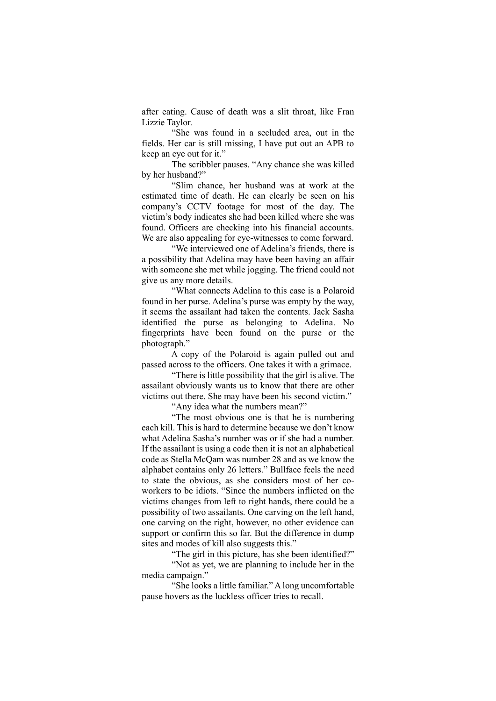after eating. Cause of death was a slit throat, like Fran Lizzie Taylor.

"She was found in a secluded area, out in the fields. Her car is still missing, I have put out an APB to keep an eye out for it."

The scribbler pauses. "Any chance she was killed by her husband?"

"Slim chance, her husband was at work at the estimated time of death. He can clearly be seen on his company's CCTV footage for most of the day. The victim's body indicates she had been killed where she was found. Officers are checking into his financial accounts. We are also appealing for eye-witnesses to come forward.

"We interviewed one of Adelina's friends, there is a possibility that Adelina may have been having an affair with someone she met while jogging. The friend could not give us any more details.

"What connects Adelina to this case is a Polaroid found in her purse. Adelina's purse was empty by the way, it seems the assailant had taken the contents. Jack Sasha identified the purse as belonging to Adelina. No fingerprints have been found on the purse or the photograph."

A copy of the Polaroid is again pulled out and passed across to the officers. One takes it with a grimace.

"There is little possibility that the girl is alive. The assailant obviously wants us to know that there are other victims out there. She may have been his second victim."

"Any idea what the numbers mean?"

"The most obvious one is that he is numbering each kill. This is hard to determine because we don't know what Adelina Sasha's number was or if she had a number. If the assailant is using a code then it is not an alphabetical code as Stella McQam was number 28 and as we know the alphabet contains only 26 letters." Bullface feels the need to state the obvious, as she considers most of her coworkers to be idiots. "Since the numbers inflicted on the victims changes from left to right hands, there could be a possibility of two assailants. One carving on the left hand, one carving on the right, however, no other evidence can support or confirm this so far. But the difference in dump sites and modes of kill also suggests this."

"The girl in this picture, has she been identified?"

"Not as yet, we are planning to include her in the media campaign."

"She looks a little familiar." A long uncomfortable pause hovers as the luckless officer tries to recall.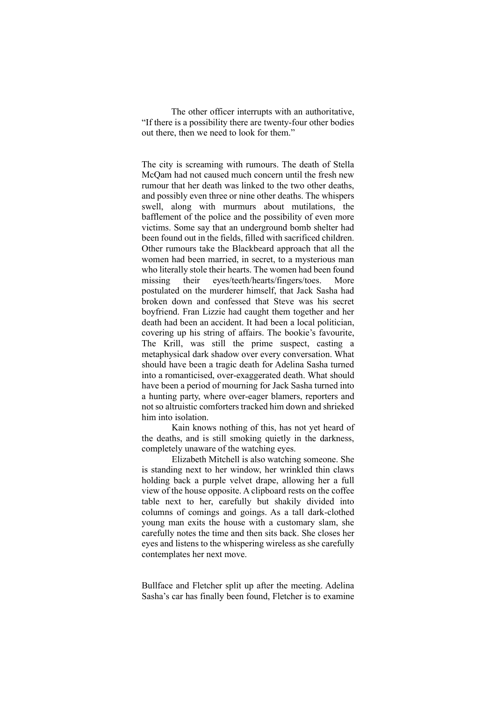The other officer interrupts with an authoritative, "If there is a possibility there are twenty-four other bodies out there, then we need to look for them."

The city is screaming with rumours. The death of Stella McQam had not caused much concern until the fresh new rumour that her death was linked to the two other deaths, and possibly even three or nine other deaths. The whispers swell, along with murmurs about mutilations, the bafflement of the police and the possibility of even more victims. Some say that an underground bomb shelter had been found out in the fields, filled with sacrificed children. Other rumours take the Blackbeard approach that all the women had been married, in secret, to a mysterious man who literally stole their hearts. The women had been found missing their eyes/teeth/hearts/fingers/toes. More postulated on the murderer himself, that Jack Sasha had broken down and confessed that Steve was his secret boyfriend. Fran Lizzie had caught them together and her death had been an accident. It had been a local politician, covering up his string of affairs. The bookie's favourite, The Krill, was still the prime suspect, casting a metaphysical dark shadow over every conversation. What should have been a tragic death for Adelina Sasha turned into a romanticised, over-exaggerated death. What should have been a period of mourning for Jack Sasha turned into a hunting party, where over-eager blamers, reporters and not so altruistic comforters tracked him down and shrieked him into isolation.

Kain knows nothing of this, has not yet heard of the deaths, and is still smoking quietly in the darkness, completely unaware of the watching eyes.

Elizabeth Mitchell is also watching someone. She is standing next to her window, her wrinkled thin claws holding back a purple velvet drape, allowing her a full view of the house opposite. A clipboard rests on the coffee table next to her, carefully but shakily divided into columns of comings and goings. As a tall dark-clothed young man exits the house with a customary slam, she carefully notes the time and then sits back. She closes her eyes and listens to the whispering wireless as she carefully contemplates her next move.

Bullface and Fletcher split up after the meeting. Adelina Sasha's car has finally been found, Fletcher is to examine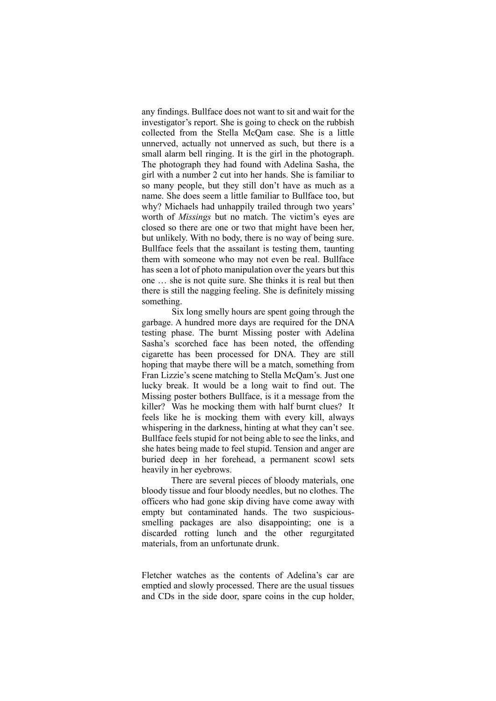any findings. Bullface does not want to sit and wait for the investigator's report. She is going to check on the rubbish collected from the Stella McQam case. She is a little unnerved, actually not unnerved as such, but there is a small alarm bell ringing. It is the girl in the photograph. The photograph they had found with Adelina Sasha, the girl with a number 2 cut into her hands. She is familiar to so many people, but they still don't have as much as a name. She does seem a little familiar to Bullface too, but why? Michaels had unhappily trailed through two years' worth of *Missings* but no match. The victim's eyes are closed so there are one or two that might have been her, but unlikely. With no body, there is no way of being sure. Bullface feels that the assailant is testing them, taunting them with someone who may not even be real. Bullface has seen a lot of photo manipulation over the years but this one … she is not quite sure. She thinks it is real but then there is still the nagging feeling. She is definitely missing something.

Six long smelly hours are spent going through the garbage. A hundred more days are required for the DNA testing phase. The burnt Missing poster with Adelina Sasha's scorched face has been noted, the offending cigarette has been processed for DNA. They are still hoping that maybe there will be a match, something from Fran Lizzie's scene matching to Stella McQam's. Just one lucky break. It would be a long wait to find out. The Missing poster bothers Bullface, is it a message from the killer? Was he mocking them with half burnt clues? It feels like he is mocking them with every kill, always whispering in the darkness, hinting at what they can't see. Bullface feels stupid for not being able to see the links, and she hates being made to feel stupid. Tension and anger are buried deep in her forehead, a permanent scowl sets heavily in her eyebrows.

There are several pieces of bloody materials, one bloody tissue and four bloody needles, but no clothes. The officers who had gone skip diving have come away with empty but contaminated hands. The two suspicioussmelling packages are also disappointing; one is a discarded rotting lunch and the other regurgitated materials, from an unfortunate drunk.

Fletcher watches as the contents of Adelina's car are emptied and slowly processed. There are the usual tissues and CDs in the side door, spare coins in the cup holder,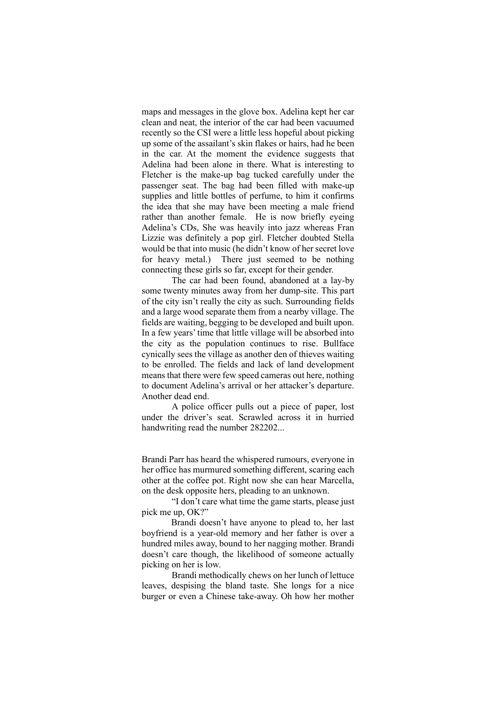maps and messages in the glove box. Adelina kept her car clean and neat, the interior of the car had been vacuumed recently so the CSI were a little less hopeful about picking up some of the assailant's skin flakes or hairs, had he been in the car. At the moment the evidence suggests that Adelina had been alone in there. What is interesting to Fletcher is the make-up bag tucked carefully under the passenger seat. The bag had been filled with make-up supplies and little bottles of perfume, to him it confirms the idea that she may have been meeting a male friend rather than another female. He is now briefly eyeing Adelina's CDs, She was heavily into jazz whereas Fran Lizzie was definitely a pop girl. Fletcher doubted Stella would be that into music (he didn't know of her secret love for heavy metal.) There just seemed to be nothing connecting these girls so far, except for their gender.

The car had been found, abandoned at a lay-by some twenty minutes away from her dump-site. This part of the city isn't really the city as such. Surrounding fields and a large wood separate them from a nearby village. The fields are waiting, begging to be developed and built upon. In a few years' time that little village will be absorbed into the city as the population continues to rise. Bullface cynically sees the village as another den of thieves waiting to be enrolled. The fields and lack of land development means that there were few speed cameras out here, nothing to document Adelina's arrival or her attacker's departure. Another dead end.

A police officer pulls out a piece of paper, lost under the driver's seat. Scrawled across it in hurried handwriting read the number 282202...

Brandi Parr has heard the whispered rumours, everyone in her office has murmured something different, scaring each other at the coffee pot. Right now she can hear Marcella, on the desk opposite hers, pleading to an unknown.

"I don't care what time the game starts, please just pick me up, OK?"

Brandi doesn't have anyone to plead to, her last boyfriend is a year-old memory and her father is over a hundred miles away, bound to her nagging mother. Brandi doesn't care though, the likelihood of someone actually picking on her is low.

Brandi methodically chews on her lunch of lettuce leaves, despising the bland taste. She longs for a nice burger or even a Chinese take-away. Oh how her mother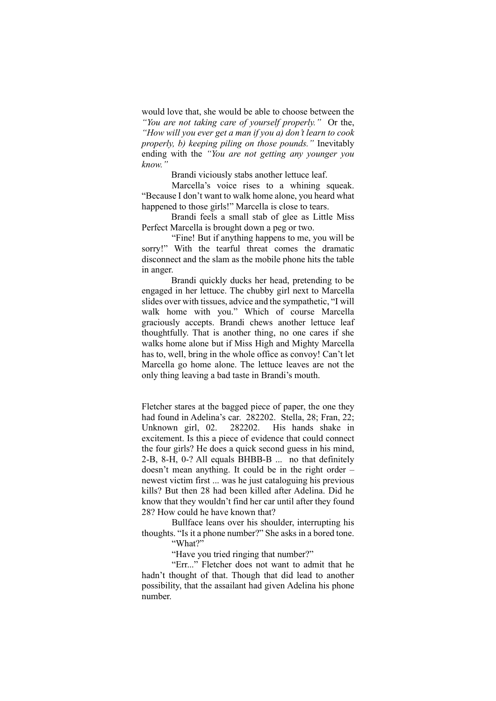would love that, she would be able to choose between the *"You are not taking care of yourself properly."* Or the, *"How will you ever get a man if you a) don't learn to cook properly, b) keeping piling on those pounds."* Inevitably ending with the *"You are not getting any younger you know."*

Brandi viciously stabs another lettuce leaf.

Marcella's voice rises to a whining squeak. "Because I don't want to walk home alone, you heard what happened to those girls!" Marcella is close to tears.

Brandi feels a small stab of glee as Little Miss Perfect Marcella is brought down a peg or two.

"Fine! But if anything happens to me, you will be sorry!" With the tearful threat comes the dramatic disconnect and the slam as the mobile phone hits the table in anger.

Brandi quickly ducks her head, pretending to be engaged in her lettuce. The chubby girl next to Marcella slides over with tissues, advice and the sympathetic, "I will walk home with you." Which of course Marcella graciously accepts. Brandi chews another lettuce leaf thoughtfully. That is another thing, no one cares if she walks home alone but if Miss High and Mighty Marcella has to, well, bring in the whole office as convoy! Can't let Marcella go home alone. The lettuce leaves are not the only thing leaving a bad taste in Brandi's mouth.

Fletcher stares at the bagged piece of paper, the one they had found in Adelina's car. 282202. Stella, 28; Fran, 22; Unknown girl, 02. 282202. His hands shake in excitement. Is this a piece of evidence that could connect the four girls? He does a quick second guess in his mind, 2-B, 8-H, 0-? All equals BHBB-B ... no that definitely doesn't mean anything. It could be in the right order – newest victim first ... was he just cataloguing his previous kills? But then 28 had been killed after Adelina. Did he know that they wouldn't find her car until after they found 28? How could he have known that?

Bullface leans over his shoulder, interrupting his thoughts. "Is it a phone number?" She asks in a bored tone. "What?"

"Have you tried ringing that number?"

"Err..." Fletcher does not want to admit that he hadn't thought of that. Though that did lead to another possibility, that the assailant had given Adelina his phone number.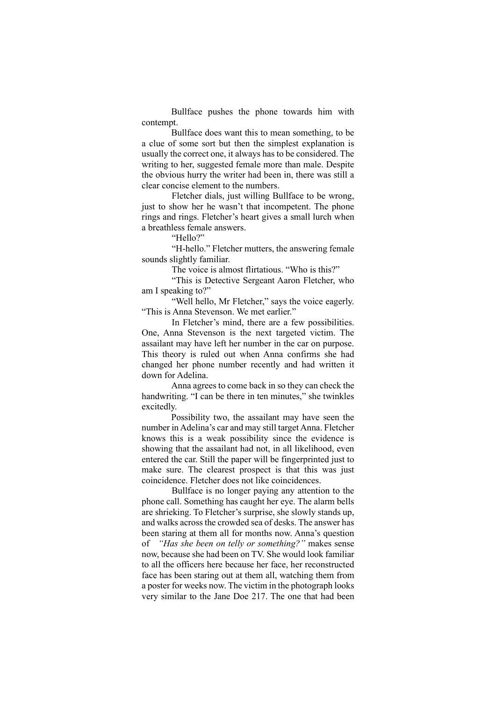Bullface pushes the phone towards him with contempt.

Bullface does want this to mean something, to be a clue of some sort but then the simplest explanation is usually the correct one, it always has to be considered. The writing to her, suggested female more than male. Despite the obvious hurry the writer had been in, there was still a clear concise element to the numbers.

Fletcher dials, just willing Bullface to be wrong, just to show her he wasn't that incompetent. The phone rings and rings. Fletcher's heart gives a small lurch when a breathless female answers.

"Hello?"

"H-hello." Fletcher mutters, the answering female sounds slightly familiar.

The voice is almost flirtatious. "Who is this?"

"This is Detective Sergeant Aaron Fletcher, who am I speaking to?"

"Well hello, Mr Fletcher," says the voice eagerly. "This is Anna Stevenson. We met earlier."

In Fletcher's mind, there are a few possibilities. One, Anna Stevenson is the next targeted victim. The assailant may have left her number in the car on purpose. This theory is ruled out when Anna confirms she had changed her phone number recently and had written it down for Adelina.

Anna agrees to come back in so they can check the handwriting. "I can be there in ten minutes," she twinkles excitedly.

Possibility two, the assailant may have seen the number in Adelina's car and may still target Anna. Fletcher knows this is a weak possibility since the evidence is showing that the assailant had not, in all likelihood, even entered the car. Still the paper will be fingerprinted just to make sure. The clearest prospect is that this was just coincidence. Fletcher does not like coincidences.

Bullface is no longer paying any attention to the phone call. Something has caught her eye. The alarm bells are shrieking. To Fletcher's surprise, she slowly stands up, and walks across the crowded sea of desks. The answer has been staring at them all for months now. Anna's question of *"Has she been on telly or something?"* makes sense now, because she had been on TV. She would look familiar to all the officers here because her face, her reconstructed face has been staring out at them all, watching them from a poster for weeks now. The victim in the photograph looks very similar to the Jane Doe 217. The one that had been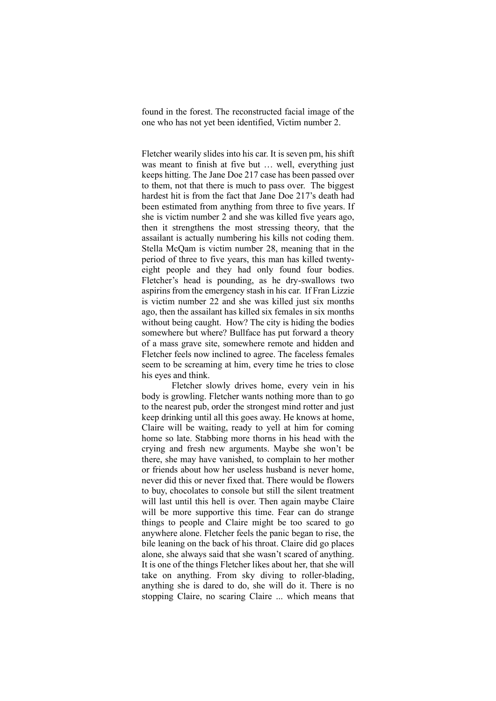found in the forest. The reconstructed facial image of the one who has not yet been identified, Victim number 2.

Fletcher wearily slides into his car. It is seven pm, his shift was meant to finish at five but … well, everything just keeps hitting. The Jane Doe 217 case has been passed over to them, not that there is much to pass over. The biggest hardest hit is from the fact that Jane Doe 217's death had been estimated from anything from three to five years. If she is victim number 2 and she was killed five years ago, then it strengthens the most stressing theory, that the assailant is actually numbering his kills not coding them. Stella McQam is victim number 28, meaning that in the period of three to five years, this man has killed twentyeight people and they had only found four bodies. Fletcher's head is pounding, as he dry-swallows two aspirins from the emergency stash in his car. If Fran Lizzie is victim number 22 and she was killed just six months ago, then the assailant has killed six females in six months without being caught. How? The city is hiding the bodies somewhere but where? Bullface has put forward a theory of a mass grave site, somewhere remote and hidden and Fletcher feels now inclined to agree. The faceless females seem to be screaming at him, every time he tries to close his eyes and think.

Fletcher slowly drives home, every vein in his body is growling. Fletcher wants nothing more than to go to the nearest pub, order the strongest mind rotter and just keep drinking until all this goes away. He knows at home, Claire will be waiting, ready to yell at him for coming home so late. Stabbing more thorns in his head with the crying and fresh new arguments. Maybe she won't be there, she may have vanished, to complain to her mother or friends about how her useless husband is never home, never did this or never fixed that. There would be flowers to buy, chocolates to console but still the silent treatment will last until this hell is over. Then again maybe Claire will be more supportive this time. Fear can do strange things to people and Claire might be too scared to go anywhere alone. Fletcher feels the panic began to rise, the bile leaning on the back of his throat. Claire did go places alone, she always said that she wasn't scared of anything. It is one of the things Fletcher likes about her, that she will take on anything. From sky diving to roller-blading, anything she is dared to do, she will do it. There is no stopping Claire, no scaring Claire ... which means that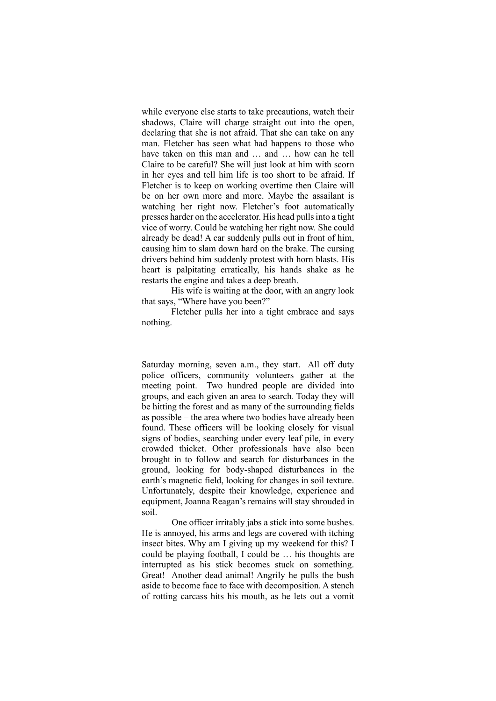while everyone else starts to take precautions, watch their shadows, Claire will charge straight out into the open, declaring that she is not afraid. That she can take on any man. Fletcher has seen what had happens to those who have taken on this man and ... and ... how can he tell Claire to be careful? She will just look at him with scorn in her eyes and tell him life is too short to be afraid. If Fletcher is to keep on working overtime then Claire will be on her own more and more. Maybe the assailant is watching her right now. Fletcher's foot automatically presses harder on the accelerator. His head pulls into a tight vice of worry. Could be watching her right now. She could already be dead! A car suddenly pulls out in front of him, causing him to slam down hard on the brake. The cursing drivers behind him suddenly protest with horn blasts. His heart is palpitating erratically, his hands shake as he restarts the engine and takes a deep breath.

His wife is waiting at the door, with an angry look that says, "Where have you been?"

Fletcher pulls her into a tight embrace and says nothing.

Saturday morning, seven a.m., they start. All off duty police officers, community volunteers gather at the meeting point. Two hundred people are divided into groups, and each given an area to search. Today they will be hitting the forest and as many of the surrounding fields as possible – the area where two bodies have already been found. These officers will be looking closely for visual signs of bodies, searching under every leaf pile, in every crowded thicket. Other professionals have also been brought in to follow and search for disturbances in the ground, looking for body-shaped disturbances in the earth's magnetic field, looking for changes in soil texture. Unfortunately, despite their knowledge, experience and equipment, Joanna Reagan's remains will stay shrouded in soil.

One officer irritably jabs a stick into some bushes. He is annoyed, his arms and legs are covered with itching insect bites. Why am I giving up my weekend for this? I could be playing football, I could be … his thoughts are interrupted as his stick becomes stuck on something. Great! Another dead animal! Angrily he pulls the bush aside to become face to face with decomposition. A stench of rotting carcass hits his mouth, as he lets out a vomit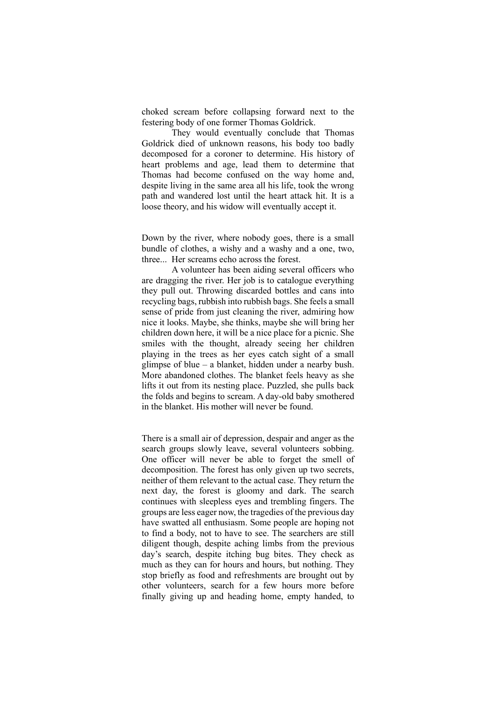choked scream before collapsing forward next to the festering body of one former Thomas Goldrick.

They would eventually conclude that Thomas Goldrick died of unknown reasons, his body too badly decomposed for a coroner to determine. His history of heart problems and age, lead them to determine that Thomas had become confused on the way home and, despite living in the same area all his life, took the wrong path and wandered lost until the heart attack hit. It is a loose theory, and his widow will eventually accept it.

Down by the river, where nobody goes, there is a small bundle of clothes, a wishy and a washy and a one, two, three... Her screams echo across the forest.

A volunteer has been aiding several officers who are dragging the river. Her job is to catalogue everything they pull out. Throwing discarded bottles and cans into recycling bags, rubbish into rubbish bags. She feels a small sense of pride from just cleaning the river, admiring how nice it looks. Maybe, she thinks, maybe she will bring her children down here, it will be a nice place for a picnic. She smiles with the thought, already seeing her children playing in the trees as her eyes catch sight of a small glimpse of blue – a blanket, hidden under a nearby bush. More abandoned clothes. The blanket feels heavy as she lifts it out from its nesting place. Puzzled, she pulls back the folds and begins to scream. A day-old baby smothered in the blanket. His mother will never be found.

There is a small air of depression, despair and anger as the search groups slowly leave, several volunteers sobbing. One officer will never be able to forget the smell of decomposition. The forest has only given up two secrets, neither of them relevant to the actual case. They return the next day, the forest is gloomy and dark. The search continues with sleepless eyes and trembling fingers. The groups are less eager now, the tragedies of the previous day have swatted all enthusiasm. Some people are hoping not to find a body, not to have to see. The searchers are still diligent though, despite aching limbs from the previous day's search, despite itching bug bites. They check as much as they can for hours and hours, but nothing. They stop briefly as food and refreshments are brought out by other volunteers, search for a few hours more before finally giving up and heading home, empty handed, to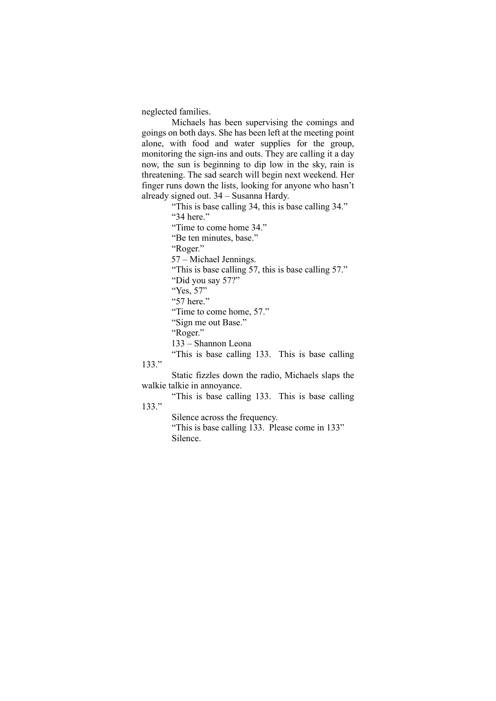neglected families.

Michaels has been supervising the comings and goings on both days. She has been left at the meeting point alone, with food and water supplies for the group, monitoring the sign-ins and outs. They are calling it a day now, the sun is beginning to dip low in the sky, rain is threatening. The sad search will begin next weekend. Her finger runs down the lists, looking for anyone who hasn't already signed out. 34 – Susanna Hardy.

> "This is base calling 34, this is base calling 34." "34 here."

"Time to come home 34."

"Be ten minutes, base."

"Roger."

57 – Michael Jennings.

"This is base calling 57, this is base calling 57."

"Did you say 57?"

"Yes, 57"

"57 here."

"Time to come home, 57."

"Sign me out Base."

"Roger."

133."

133 – Shannon Leona

"This is base calling 133. This is base calling

Static fizzles down the radio, Michaels slaps the walkie talkie in annoyance.

"This is base calling 133. This is base calling 133."

Silence across the frequency.

"This is base calling 133. Please come in 133" Silence.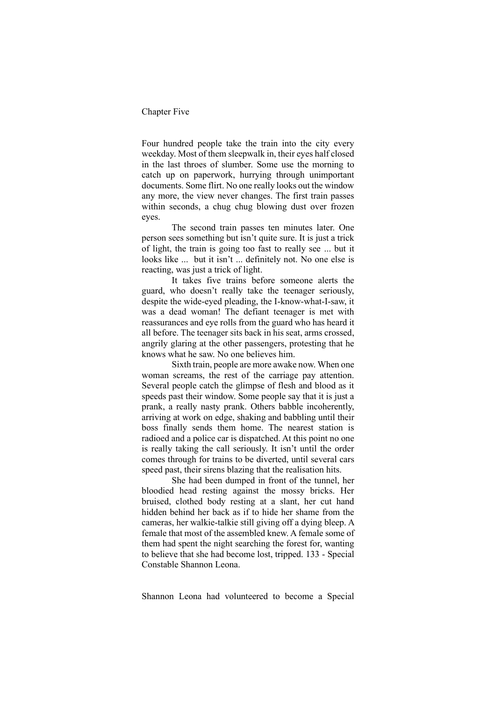## Chapter Five

Four hundred people take the train into the city every weekday. Most of them sleepwalk in, their eyes half closed in the last throes of slumber. Some use the morning to catch up on paperwork, hurrying through unimportant documents. Some flirt. No one really looks out the window any more, the view never changes. The first train passes within seconds, a chug chug blowing dust over frozen eyes.

The second train passes ten minutes later. One person sees something but isn't quite sure. It is just a trick of light, the train is going too fast to really see ... but it looks like ... but it isn't ... definitely not. No one else is reacting, was just a trick of light.

It takes five trains before someone alerts the guard, who doesn't really take the teenager seriously, despite the wide-eyed pleading, the I-know-what-I-saw, it was a dead woman! The defiant teenager is met with reassurances and eye rolls from the guard who has heard it all before. The teenager sits back in his seat, arms crossed, angrily glaring at the other passengers, protesting that he knows what he saw. No one believes him.

Sixth train, people are more awake now. When one woman screams, the rest of the carriage pay attention. Several people catch the glimpse of flesh and blood as it speeds past their window. Some people say that it is just a prank, a really nasty prank. Others babble incoherently, arriving at work on edge, shaking and babbling until their boss finally sends them home. The nearest station is radioed and a police car is dispatched. At this point no one is really taking the call seriously. It isn't until the order comes through for trains to be diverted, until several cars speed past, their sirens blazing that the realisation hits.

She had been dumped in front of the tunnel, her bloodied head resting against the mossy bricks. Her bruised, clothed body resting at a slant, her cut hand hidden behind her back as if to hide her shame from the cameras, her walkie-talkie still giving off a dying bleep. A female that most of the assembled knew. A female some of them had spent the night searching the forest for, wanting to believe that she had become lost, tripped. 133 - Special Constable Shannon Leona.

Shannon Leona had volunteered to become a Special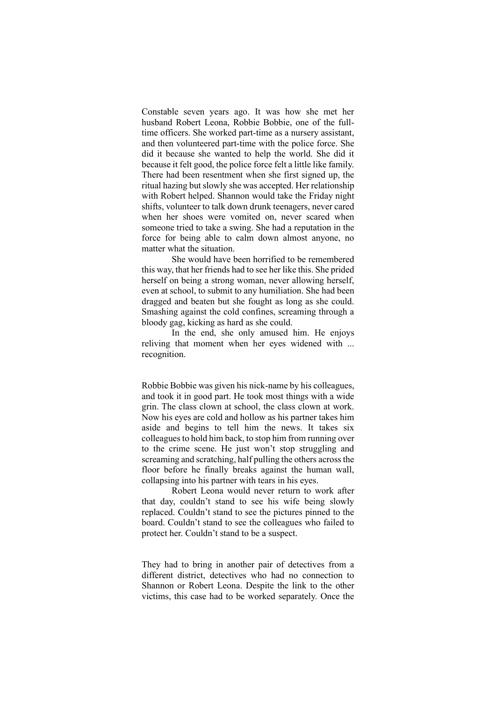Constable seven years ago. It was how she met her husband Robert Leona, Robbie Bobbie, one of the fulltime officers. She worked part-time as a nursery assistant, and then volunteered part-time with the police force. She did it because she wanted to help the world. She did it because it felt good, the police force felt a little like family. There had been resentment when she first signed up, the ritual hazing but slowly she was accepted. Her relationship with Robert helped. Shannon would take the Friday night shifts, volunteer to talk down drunk teenagers, never cared when her shoes were vomited on, never scared when someone tried to take a swing. She had a reputation in the force for being able to calm down almost anyone, no matter what the situation.

She would have been horrified to be remembered this way, that her friends had to see her like this. She prided herself on being a strong woman, never allowing herself, even at school, to submit to any humiliation. She had been dragged and beaten but she fought as long as she could. Smashing against the cold confines, screaming through a bloody gag, kicking as hard as she could.

In the end, she only amused him. He enjoys reliving that moment when her eyes widened with ... recognition.

Robbie Bobbie was given his nick-name by his colleagues, and took it in good part. He took most things with a wide grin. The class clown at school, the class clown at work. Now his eyes are cold and hollow as his partner takes him aside and begins to tell him the news. It takes six colleagues to hold him back, to stop him from running over to the crime scene. He just won't stop struggling and screaming and scratching, half pulling the others across the floor before he finally breaks against the human wall, collapsing into his partner with tears in his eyes.

Robert Leona would never return to work after that day, couldn't stand to see his wife being slowly replaced. Couldn't stand to see the pictures pinned to the board. Couldn't stand to see the colleagues who failed to protect her. Couldn't stand to be a suspect.

They had to bring in another pair of detectives from a different district, detectives who had no connection to Shannon or Robert Leona. Despite the link to the other victims, this case had to be worked separately. Once the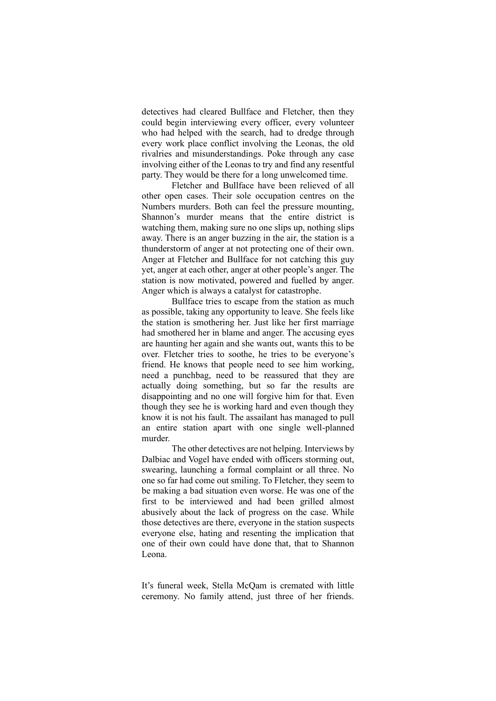detectives had cleared Bullface and Fletcher, then they could begin interviewing every officer, every volunteer who had helped with the search, had to dredge through every work place conflict involving the Leonas, the old rivalries and misunderstandings. Poke through any case involving either of the Leonas to try and find any resentful party. They would be there for a long unwelcomed time.

Fletcher and Bullface have been relieved of all other open cases. Their sole occupation centres on the Numbers murders. Both can feel the pressure mounting, Shannon's murder means that the entire district is watching them, making sure no one slips up, nothing slips away. There is an anger buzzing in the air, the station is a thunderstorm of anger at not protecting one of their own. Anger at Fletcher and Bullface for not catching this guy yet, anger at each other, anger at other people's anger. The station is now motivated, powered and fuelled by anger. Anger which is always a catalyst for catastrophe.

Bullface tries to escape from the station as much as possible, taking any opportunity to leave. She feels like the station is smothering her. Just like her first marriage had smothered her in blame and anger. The accusing eyes are haunting her again and she wants out, wants this to be over. Fletcher tries to soothe, he tries to be everyone's friend. He knows that people need to see him working, need a punchbag, need to be reassured that they are actually doing something, but so far the results are disappointing and no one will forgive him for that. Even though they see he is working hard and even though they know it is not his fault. The assailant has managed to pull an entire station apart with one single well-planned murder.

The other detectives are not helping. Interviews by Dalbiac and Vogel have ended with officers storming out, swearing, launching a formal complaint or all three. No one so far had come out smiling. To Fletcher, they seem to be making a bad situation even worse. He was one of the first to be interviewed and had been grilled almost abusively about the lack of progress on the case. While those detectives are there, everyone in the station suspects everyone else, hating and resenting the implication that one of their own could have done that, that to Shannon Leona.

It's funeral week, Stella McQam is cremated with little ceremony. No family attend, just three of her friends.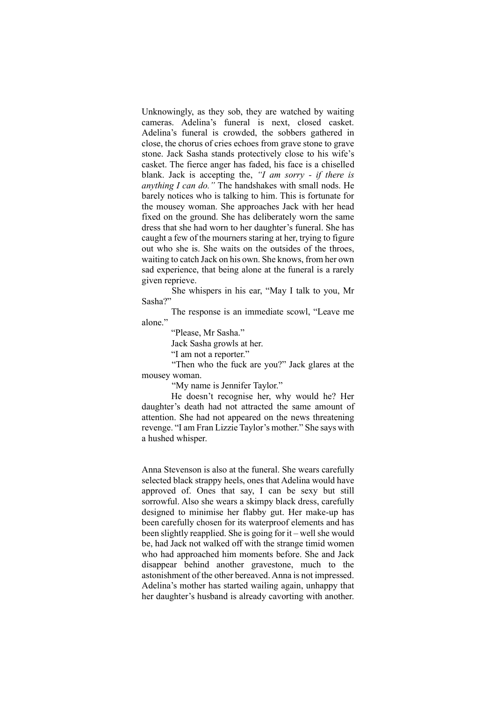Unknowingly, as they sob, they are watched by waiting cameras. Adelina's funeral is next, closed casket. Adelina's funeral is crowded, the sobbers gathered in close, the chorus of cries echoes from grave stone to grave stone. Jack Sasha stands protectively close to his wife's casket. The fierce anger has faded, his face is a chiselled blank. Jack is accepting the, *"I am sorry - if there is anything I can do."* The handshakes with small nods. He barely notices who is talking to him. This is fortunate for the mousey woman. She approaches Jack with her head fixed on the ground. She has deliberately worn the same dress that she had worn to her daughter's funeral. She has caught a few of the mourners staring at her, trying to figure out who she is. She waits on the outsides of the throes, waiting to catch Jack on his own. She knows, from her own sad experience, that being alone at the funeral is a rarely given reprieve.

She whispers in his ear, "May I talk to you, Mr Sasha?"

The response is an immediate scowl, "Leave me alone.'

"Please, Mr Sasha."

Jack Sasha growls at her.

"I am not a reporter."

"Then who the fuck are you?" Jack glares at the mousey woman.

"My name is Jennifer Taylor."

He doesn't recognise her, why would he? Her daughter's death had not attracted the same amount of attention. She had not appeared on the news threatening revenge. "I am Fran Lizzie Taylor's mother." She says with a hushed whisper.

Anna Stevenson is also at the funeral. She wears carefully selected black strappy heels, ones that Adelina would have approved of. Ones that say, I can be sexy but still sorrowful. Also she wears a skimpy black dress, carefully designed to minimise her flabby gut. Her make-up has been carefully chosen for its waterproof elements and has been slightly reapplied. She is going for it – well she would be, had Jack not walked off with the strange timid women who had approached him moments before. She and Jack disappear behind another gravestone, much to the astonishment of the other bereaved. Anna is not impressed. Adelina's mother has started wailing again, unhappy that her daughter's husband is already cavorting with another.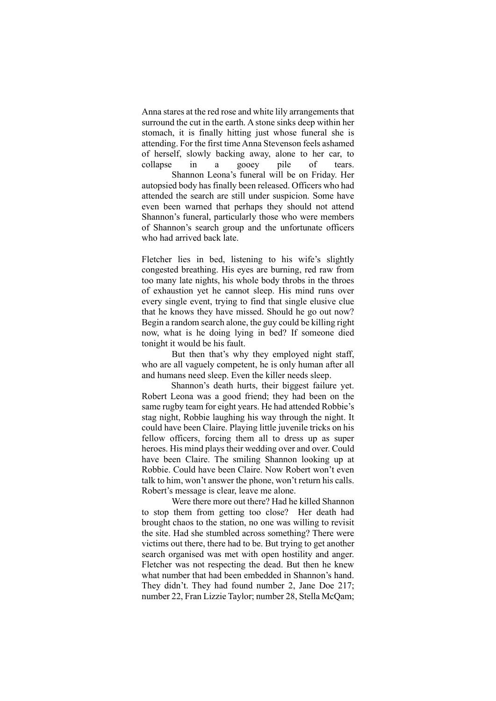Anna stares at the red rose and white lily arrangements that surround the cut in the earth. A stone sinks deep within her stomach, it is finally hitting just whose funeral she is attending. For the first time Anna Stevenson feels ashamed of herself, slowly backing away, alone to her car, to collapse in a gooey pile of tears. Shannon Leona's funeral will be on Friday. Her autopsied body has finally been released. Officers who had attended the search are still under suspicion. Some have even been warned that perhaps they should not attend Shannon's funeral, particularly those who were members of Shannon's search group and the unfortunate officers who had arrived back late.

Fletcher lies in bed, listening to his wife's slightly congested breathing. His eyes are burning, red raw from too many late nights, his whole body throbs in the throes of exhaustion yet he cannot sleep. His mind runs over every single event, trying to find that single elusive clue that he knows they have missed. Should he go out now? Begin a random search alone, the guy could be killing right now, what is he doing lying in bed? If someone died tonight it would be his fault.

But then that's why they employed night staff, who are all vaguely competent, he is only human after all and humans need sleep. Even the killer needs sleep.

Shannon's death hurts, their biggest failure yet. Robert Leona was a good friend; they had been on the same rugby team for eight years. He had attended Robbie's stag night, Robbie laughing his way through the night. It could have been Claire. Playing little juvenile tricks on his fellow officers, forcing them all to dress up as super heroes. His mind plays their wedding over and over. Could have been Claire. The smiling Shannon looking up at Robbie. Could have been Claire. Now Robert won't even talk to him, won't answer the phone, won't return his calls. Robert's message is clear, leave me alone.

Were there more out there? Had he killed Shannon to stop them from getting too close? Her death had brought chaos to the station, no one was willing to revisit the site. Had she stumbled across something? There were victims out there, there had to be. But trying to get another search organised was met with open hostility and anger. Fletcher was not respecting the dead. But then he knew what number that had been embedded in Shannon's hand. They didn't. They had found number 2, Jane Doe 217; number 22, Fran Lizzie Taylor; number 28, Stella McQam;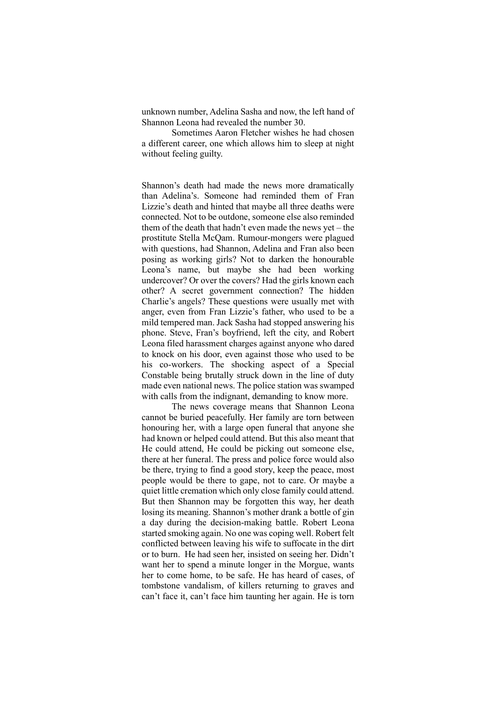unknown number, Adelina Sasha and now, the left hand of Shannon Leona had revealed the number 30.

Sometimes Aaron Fletcher wishes he had chosen a different career, one which allows him to sleep at night without feeling guilty.

Shannon's death had made the news more dramatically than Adelina's. Someone had reminded them of Fran Lizzie's death and hinted that maybe all three deaths were connected. Not to be outdone, someone else also reminded them of the death that hadn't even made the news yet – the prostitute Stella McQam. Rumour-mongers were plagued with questions, had Shannon, Adelina and Fran also been posing as working girls? Not to darken the honourable Leona's name, but maybe she had been working undercover? Or over the covers? Had the girls known each other? A secret government connection? The hidden Charlie's angels? These questions were usually met with anger, even from Fran Lizzie's father, who used to be a mild tempered man. Jack Sasha had stopped answering his phone. Steve, Fran's boyfriend, left the city, and Robert Leona filed harassment charges against anyone who dared to knock on his door, even against those who used to be his co-workers. The shocking aspect of a Special Constable being brutally struck down in the line of duty made even national news. The police station was swamped with calls from the indignant, demanding to know more.

The news coverage means that Shannon Leona cannot be buried peacefully. Her family are torn between honouring her, with a large open funeral that anyone she had known or helped could attend. But this also meant that He could attend, He could be picking out someone else, there at her funeral. The press and police force would also be there, trying to find a good story, keep the peace, most people would be there to gape, not to care. Or maybe a quiet little cremation which only close family could attend. But then Shannon may be forgotten this way, her death losing its meaning. Shannon's mother drank a bottle of gin a day during the decision-making battle. Robert Leona started smoking again. No one was coping well. Robert felt conflicted between leaving his wife to suffocate in the dirt or to burn. He had seen her, insisted on seeing her. Didn't want her to spend a minute longer in the Morgue, wants her to come home, to be safe. He has heard of cases, of tombstone vandalism, of killers returning to graves and can't face it, can't face him taunting her again. He is torn